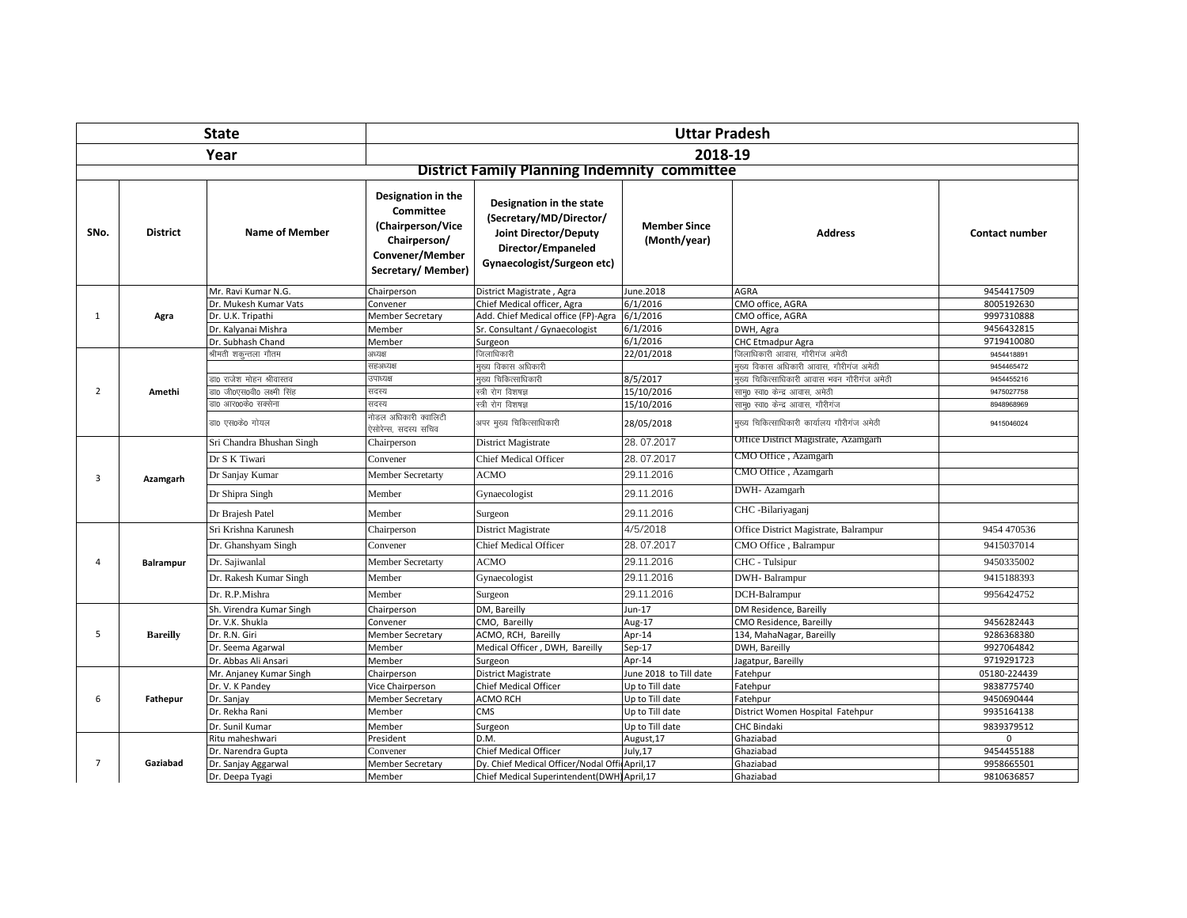|                |                  | <b>State</b>               | <b>Uttar Pradesh</b>                                                                                                |                                                                                                                                  |                                     |                                             |                       |  |
|----------------|------------------|----------------------------|---------------------------------------------------------------------------------------------------------------------|----------------------------------------------------------------------------------------------------------------------------------|-------------------------------------|---------------------------------------------|-----------------------|--|
|                |                  | Year                       | 2018-19                                                                                                             |                                                                                                                                  |                                     |                                             |                       |  |
|                |                  |                            | <b>District Family Planning Indemnity committee</b>                                                                 |                                                                                                                                  |                                     |                                             |                       |  |
| SNo.           | <b>District</b>  | <b>Name of Member</b>      | Designation in the<br><b>Committee</b><br>(Chairperson/Vice<br>Chairperson/<br>Convener/Member<br>Secretary/Member) | Designation in the state<br>(Secretary/MD/Director/<br>Joint Director/Deputy<br>Director/Empaneled<br>Gynaecologist/Surgeon etc) | <b>Member Since</b><br>(Month/year) | <b>Address</b>                              | <b>Contact number</b> |  |
|                |                  | Mr. Ravi Kumar N.G.        | Chairperson                                                                                                         | District Magistrate, Agra                                                                                                        | June.2018                           | <b>AGRA</b>                                 | 9454417509            |  |
|                |                  | Dr. Mukesh Kumar Vats      | Convener                                                                                                            | Chief Medical officer, Agra                                                                                                      | 6/1/2016                            | CMO office, AGRA                            | 8005192630            |  |
| 1              | Agra             | Dr. U.K. Tripathi          | <b>Member Secretary</b>                                                                                             | Add. Chief Medical office (FP)-Agra                                                                                              | 6/1/2016                            | CMO office, AGRA                            | 9997310888            |  |
|                |                  | Dr. Kalyanai Mishra        | Member                                                                                                              | Sr. Consultant / Gynaecologist                                                                                                   | 6/1/2016                            | DWH, Agra                                   | 9456432815            |  |
|                |                  | Dr. Subhash Chand          | Member                                                                                                              | Surgeon                                                                                                                          | 6/1/2016                            | CHC Etmadpur Agra                           | 9719410080            |  |
|                |                  | श्रीमती शकुन्तला गौतम      | अध्यक्ष                                                                                                             | जिलाधिकारी                                                                                                                       | 22/01/2018                          | .<br>जिलाधिकारी आवास, गौरीगंज अमेठी         | 9454418891            |  |
|                |                  |                            | सहअध्यक्ष                                                                                                           | मुख्य विकास अधिकारी                                                                                                              |                                     | मुख्य विकास अधिकारी आवास, गौरीगंज अमेठी     | 9454465472            |  |
|                | Amethi           | डा0 राजेश मोहन श्रीवास्तव  | उपाध्यक्ष                                                                                                           | मुख्य चिकित्साधिकारी                                                                                                             | 8/5/2017                            | मुख्य चिकित्साधिकारी आवास भवन गौरीगंज अमेठी | 9454455216            |  |
| $\overline{2}$ |                  | डा0 जी0एस0वी0 लक्ष्मी सिंह | सदस्य                                                                                                               | स्त्री रोग विशषज्ञ                                                                                                               | 15/10/2016                          | सामृ0 स्वा0 केन्द्र आवास, अमेठी             | 9475027758            |  |
|                |                  | डा0 आर00के0 सक्सेना        | सदस्य                                                                                                               | स्त्री रोग विशषज्ञ                                                                                                               | 15/10/2016                          | साम्0 स्वा0 केन्द्र आवास, गौरीगंज           | 8948968969            |  |
|                |                  | डा0 एस0के0 गोयल            | नोडल अधिकारी क्वालिटी<br>ऐसोरेन्स. सदस्य सचिव                                                                       | अपर मुख्य चिकित्साधिकारी                                                                                                         | 28/05/2018                          | मख्य चिकित्साधिकारी कार्यालय गौरीगंज अमेठी  | 9415046024            |  |
|                |                  | Sri Chandra Bhushan Singh  | Chairperson                                                                                                         | District Magistrate                                                                                                              | 28.07.2017                          | Office District Magistrate, Azamgarh        |                       |  |
|                |                  | Dr S K Tiwari              | Convener                                                                                                            | <b>Chief Medical Officer</b>                                                                                                     | 28.07.2017                          | CMO Office, Azamgarh                        |                       |  |
| 3              | Azamgarh         | Dr Sanjay Kumar            | <b>Member Secretarty</b>                                                                                            | <b>ACMO</b>                                                                                                                      | 29.11.2016                          | CMO Office, Azamgarh                        |                       |  |
|                |                  | Dr Shipra Singh            | Member                                                                                                              | Gynaecologist                                                                                                                    | 29.11.2016                          | DWH- Azamgarh                               |                       |  |
|                |                  | Dr Brajesh Patel           | Member                                                                                                              | Surgeon                                                                                                                          | 29.11.2016                          | CHC -Bilariyaganj                           |                       |  |
|                |                  | Sri Krishna Karunesh       | Chairperson                                                                                                         | District Magistrate                                                                                                              | 4/5/2018                            | Office District Magistrate, Balrampur       | 9454 470536           |  |
|                |                  | Dr. Ghanshyam Singh        | Convener                                                                                                            | <b>Chief Medical Officer</b>                                                                                                     | 28.07.2017                          | CMO Office, Balrampur                       | 9415037014            |  |
| 4              | <b>Balrampur</b> | Dr. Sajiwanlal             | Member Secretarty                                                                                                   | <b>ACMO</b>                                                                                                                      | 29.11.2016                          | CHC - Tulsipur                              | 9450335002            |  |
|                |                  | Dr. Rakesh Kumar Singh     | Member                                                                                                              | Gynaecologist                                                                                                                    | 29.11.2016                          | DWH-Balrampur                               | 9415188393            |  |
|                |                  | Dr. R.P.Mishra             | Member                                                                                                              | Surgeon                                                                                                                          | 29.11.2016                          | DCH-Balrampur                               | 9956424752            |  |
|                |                  | Sh. Virendra Kumar Singh   | Chairperson                                                                                                         | DM, Bareilly                                                                                                                     | Jun-17                              | DM Residence, Bareilly                      |                       |  |
|                |                  | Dr. V.K. Shukla            | Convener                                                                                                            | CMO, Bareilly                                                                                                                    | Aug-17                              | CMO Residence, Bareilly                     | 9456282443            |  |
| 5              | <b>Bareilly</b>  | Dr. R.N. Giri              | <b>Member Secretary</b>                                                                                             | ACMO, RCH, Bareilly                                                                                                              | Apr-14                              | 134, MahaNagar, Bareilly                    | 9286368380            |  |
|                |                  | Dr. Seema Agarwal          | Member                                                                                                              | Medical Officer, DWH, Bareilly                                                                                                   | $Sep-17$                            | DWH, Bareilly                               | 9927064842            |  |
|                |                  | Dr. Abbas Ali Ansari       | Member                                                                                                              | Surgeon                                                                                                                          | Apr-14                              | Jagatpur, Bareilly                          | 9719291723            |  |
|                |                  | Mr. Anjaney Kumar Singh    | Chairperson                                                                                                         | District Magistrate                                                                                                              | June 2018 to Till date              | Fatehpur                                    | 05180-224439          |  |
| 6              |                  | Dr. V. K Pandey            | Vice Chairperson                                                                                                    | <b>Chief Medical Officer</b>                                                                                                     | Up to Till date                     | Fatehpur                                    | 9838775740            |  |
|                | Fathepur         | Dr. Sanjay                 | <b>Member Secretary</b>                                                                                             | <b>ACMO RCH</b>                                                                                                                  | Up to Till date                     | Fatehpur                                    | 9450690444            |  |
|                |                  | Dr. Rekha Rani             | Member                                                                                                              | <b>CMS</b>                                                                                                                       | Up to Till date                     | District Women Hospital Fatehpur            | 9935164138            |  |
|                |                  | Dr. Sunil Kumar            | Member                                                                                                              | Surgeon                                                                                                                          | Up to Till date                     | <b>CHC Bindaki</b>                          | 9839379512            |  |
|                |                  | Ritu maheshwari            | President                                                                                                           | D.M.                                                                                                                             | August, 17                          | Ghaziabad                                   | $\Omega$              |  |
|                |                  | Dr. Narendra Gupta         | Convener                                                                                                            | Chief Medical Officer                                                                                                            | July, 17                            | Ghaziabad                                   | 9454455188            |  |
| $\overline{7}$ | Gaziabad         | Dr. Sanjay Aggarwal        | <b>Member Secretary</b>                                                                                             | Dy. Chief Medical Officer/Nodal OfficApril,17                                                                                    |                                     | Ghaziabad                                   | 9958665501            |  |
|                |                  | Dr. Deepa Tyagi            | Member                                                                                                              | Chief Medical Superintendent(DWH) April,17                                                                                       |                                     | Ghaziabad                                   | 9810636857            |  |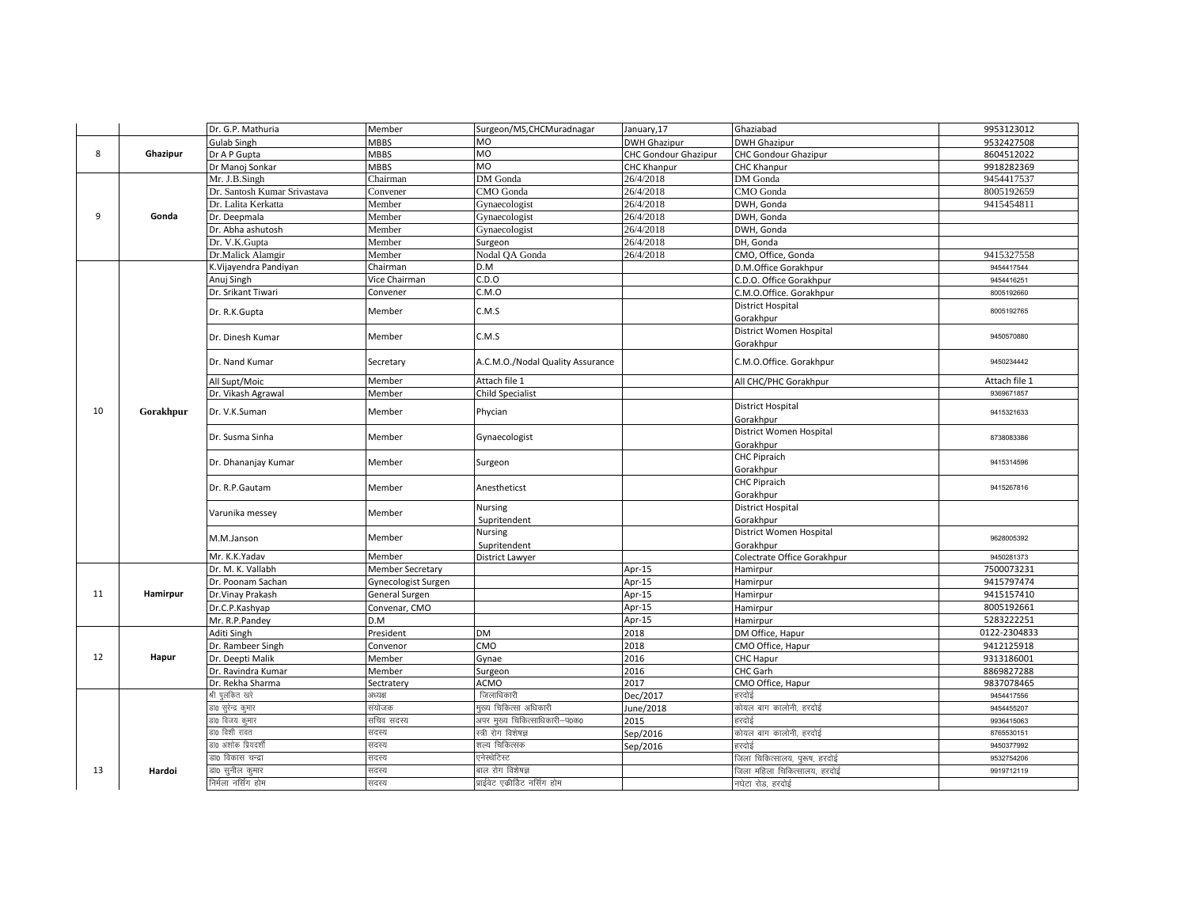|    |           | Dr. G.P. Mathuria            | Member              | Surgeon/MS, CHCMuradnagar        | January, 17                 | Ghaziabad                                | 9953123012    |
|----|-----------|------------------------------|---------------------|----------------------------------|-----------------------------|------------------------------------------|---------------|
|    |           | <b>Gulab Singh</b>           | <b>MBBS</b>         | MO                               | <b>DWH Ghazipur</b>         | <b>DWH Ghazipur</b>                      | 9532427508    |
| 8  | Ghazipur  | Dr A P Gupta                 | MBBS                | MO                               | <b>CHC Gondour Ghazipur</b> | <b>CHC Gondour Ghazipur</b>              | 8604512022    |
|    |           | Dr Manoj Sonkar              | MBBS                | M <sub>O</sub>                   | CHC Khanpur                 | <b>CHC Khanpur</b>                       | 9918282369    |
|    |           | Mr. J.B.Singh                | Chairman            | DM Gonda                         | 26/4/2018                   | DM Gonda                                 | 9454417537    |
|    |           | Dr. Santosh Kumar Srivastava | Convener            | CMO Gonda                        | 26/4/2018                   | CMO Gonda                                | 8005192659    |
|    |           | Dr. Lalita Kerkatta          | Member              | Gynaecologist                    | 26/4/2018                   | DWH, Gonda                               | 9415454811    |
| 9  | Gonda     | Dr. Deepmala                 | Member              | Gynaecologist                    | 26/4/2018                   | DWH, Gonda                               |               |
|    |           | Dr. Abha ashutosh            | Member              | Gynaecologist                    | 26/4/2018                   | DWH, Gonda                               |               |
|    |           | Dr. V.K.Gupta                | Member              | Surgeon                          | 26/4/2018                   | DH, Gonda                                |               |
|    |           | Dr.Malick Alamgir            | Member              | Nodal OA Gonda                   | 26/4/2018                   | CMO, Office, Gonda                       | 9415327558    |
|    |           | K.Vijayendra Pandiyan        | Chairman            | D.M                              |                             | D.M.Office Gorakhpur                     | 9454417544    |
|    |           | Anuj Singh                   | Vice Chairman       | C.D.O                            |                             | C.D.O. Office Gorakhpur                  | 9454416251    |
|    |           | Dr. Srikant Tiwari           | Convener            | C.M.O                            |                             | C.M.O.Office. Gorakhpur                  | 8005192660    |
|    |           | Dr. R.K.Gupta                | Member              | C.M.S                            |                             | District Hospital                        | 8005192765    |
|    |           |                              |                     |                                  |                             | Gorakhpur                                |               |
|    |           | Dr. Dinesh Kumar             | Member              | C.M.S                            |                             | District Women Hospital                  | 9450570880    |
|    |           |                              |                     |                                  |                             | Gorakhpur                                |               |
|    |           | Dr. Nand Kumar               | Secretary           | A.C.M.O./Nodal Quality Assurance |                             | C.M.O.Office. Gorakhpur                  | 9450234442    |
|    |           | All Supt/Moic                | Member              | Attach file 1                    |                             | All CHC/PHC Gorakhpur                    | Attach file 1 |
|    | Gorakhpur | Dr. Vikash Agrawal           | Member              | <b>Child Specialist</b>          |                             |                                          | 9369671857    |
| 10 |           | Dr. V.K.Suman                | Member              | Phycian                          |                             | <b>District Hospital</b>                 | 9415321633    |
|    |           |                              |                     |                                  |                             | Gorakhpur                                |               |
|    |           | Dr. Susma Sinha              | Member              | Gynaecologist                    |                             | District Women Hospital                  | 8738083386    |
|    |           |                              |                     |                                  |                             | Gorakhpur                                |               |
|    |           | Dr. Dhananjay Kumar          | Member              | Surgeon                          |                             | <b>CHC Pipraich</b>                      | 9415314596    |
|    |           |                              |                     |                                  |                             | Gorakhpur                                |               |
|    |           | Dr. R.P.Gautam<br>Member     |                     | Anestheticst                     |                             | <b>CHC Pipraich</b>                      | 9415267816    |
|    |           |                              |                     |                                  |                             | Gorakhpur<br><b>District Hospital</b>    |               |
|    |           | Varunika messey              | Member              | Nursing                          |                             |                                          |               |
|    |           |                              |                     | Supritendent<br>Nursing          |                             | Gorakhpur<br>District Women Hospital     |               |
|    |           | M.M.Janson                   | Member              |                                  |                             |                                          | 9628005392    |
|    |           | Mr. K.K.Yadav                | Member              | Supritendent<br>District Lawyer  |                             | Gorakhpur<br>Colectrate Office Gorakhpur | 9450281373    |
|    |           | Dr. M. K. Vallabh            | Member Secretary    |                                  | Apr-15                      | Hamirpur                                 | 7500073231    |
|    |           | Dr. Poonam Sachan            | Gynecologist Surgen |                                  | Apr-15                      | Hamirpur                                 | 9415797474    |
| 11 | Hamirpur  | Dr. Vinay Prakash            | General Surgen      |                                  | Apr-15                      | Hamirpur                                 | 9415157410    |
|    |           | Dr.C.P.Kashyap               | Convenar, CMO       |                                  | Apr-15                      | Hamirpur                                 | 8005192661    |
|    |           | Mr. R.P.Pandey               | D.M                 |                                  | Apr-15                      | Hamirpur                                 | 5283222251    |
|    |           | Aditi Singh                  | President           | DM                               | 2018                        | DM Office, Hapur                         | 0122-2304833  |
|    |           | Dr. Rambeer Singh            | Convenor            | CMO                              | 2018                        | CMO Office, Hapur                        | 9412125918    |
| 12 | Hapur     | Dr. Deepti Malik             | Member              | Gynae                            | 2016                        | CHC Hapur                                | 9313186001    |
|    |           | Dr. Ravindra Kumar           | Member              | Surgeon                          | 2016                        | CHC Garh                                 | 8869827288    |
|    |           | Dr. Rekha Sharma             | Sectratery          | <b>ACMO</b>                      | 2017                        | CMO Office, Hapur                        | 9837078465    |
|    |           | भी पुलकित खरे                | अध्यक्ष             | जिलाधिकारी                       | Dec/2017                    | हरदोई                                    | 9454417556    |
|    |           | डा0 सुरेन्द्र कुमार          | संयोजक              | मख्य चिकित्सा अधिकारी            | June/2018                   | कोयल बाग कालोनी, हरदोई                   | 9454455207    |
|    |           | डा0 विजय कुमार               | —<br>सचिव सदस्य     | अपर मुख्य चिकित्साधिकारी–प0क0    | 2015                        | इरदोई                                    | 9936415063    |
|    |           | डा0 विशी रावत                | सदस्य               | स्त्री रोग विशेषज्ञ              | Sep/2016                    | कोयल बाग कालोनी, हरदोई                   | 8765530151    |
|    |           | डा0 अशोक प्रियदर्शी          | सदस्य               | शल्य चिकित्सक                    | Sep/2016                    | इरदोई                                    | 9450377992    |
|    |           | डा0 विकास चन्द्रा            | सदस्य               | एनेस्थेटिस्ट                     |                             | जिला चिकित्सालय, पुरूष, हरदोई            | 9532754206    |
| 13 | Hardoi    | डा0 सुनील क्मार              | सदस्य               | बाल रोग विशेषज्ञ                 |                             | जिला महिला चिकित्सालय, हरदोई             | 9919712119    |
|    |           | निर्मला नर्सिंग होम          | सदस्य               | प्राईवेट एकीडिट नर्सिग होम       |                             | नघेटा रोड, हरदोई                         |               |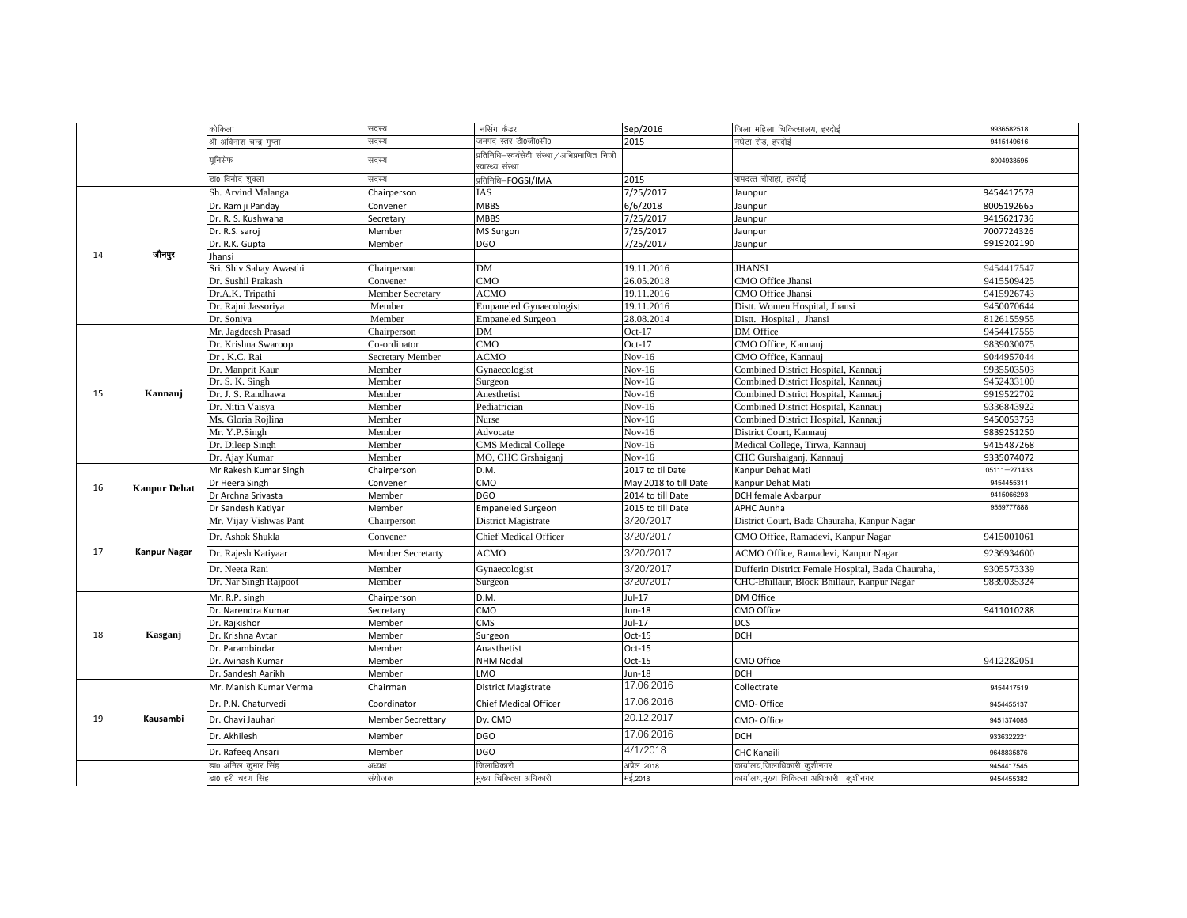|    |                     | कोकिला                    | सदस्य                    | नर्सिग कैडर                                   | Sep/2016              | जिला महिला चिकित्सालय, हरदोई                      | 9936582518   |
|----|---------------------|---------------------------|--------------------------|-----------------------------------------------|-----------------------|---------------------------------------------------|--------------|
|    |                     | श्री अविनाश चन्द्र गुप्ता | सदस्य                    | जनपद स्तर डी0जी0सी0                           | 2015                  | नघेटा रोड, हरदोई                                  | 9415149616   |
|    |                     |                           |                          | प्रतिनिधि–स्वयंसेवी संस्था / अभिप्रमाणित निजी |                       |                                                   |              |
|    |                     | यनिसेफ                    | सदस्य                    | स्वास्थ्य संस्था                              |                       |                                                   | 8004933595   |
|    |                     | डा0 विनोद शुक्ला          | सदस्य                    | प्रतिनिधि-FOGSI/IMA                           | 2015                  | रामदत्त चौराहा, हरदोई                             |              |
|    |                     | Sh. Arvind Malanga        | Chairperson              | IAS                                           | 7/25/2017             | Jaunpur                                           | 9454417578   |
|    |                     | Dr. Ram ji Panday         | Convener                 | MBBS                                          | 6/6/2018              | Jaunpur                                           | 8005192665   |
|    |                     | Dr. R. S. Kushwaha        | Secretary                | <b>MBBS</b>                                   | 7/25/2017             | Jaunpur                                           | 9415621736   |
|    |                     | Dr. R.S. saroj            | Member                   | MS Surgon                                     | 7/25/2017             | Jaunpur                                           | 7007724326   |
|    |                     | Dr. R.K. Gupta            | Member                   | <b>DGO</b>                                    | 7/25/2017             | Jaunpur                                           | 9919202190   |
| 14 | जौनपुर              | Jhansi                    |                          |                                               |                       |                                                   |              |
|    |                     | Sri. Shiv Sahay Awasthi   | Chairperson              | DM                                            | 19.11.2016            | <b>JHANSI</b>                                     | 9454417547   |
|    |                     | Dr. Sushil Prakash        | Convener                 | CMO                                           | 26.05.2018            | CMO Office Jhansi                                 | 9415509425   |
|    |                     | Dr.A.K. Tripathi          | <b>Member Secretary</b>  | <b>ACMO</b>                                   | 19.11.2016            | CMO Office Jhansi                                 | 9415926743   |
|    |                     | Dr. Rajni Jassoriya       | Member                   | <b>Empaneled Gynaecologist</b>                | 19.11.2016            | Distt. Women Hospital, Jhansi                     | 9450070644   |
|    |                     | Dr. Soniya                | Member                   | <b>Empaneled Surgeon</b>                      | 28.08.2014            | Distt. Hospital, Jhansi                           | 8126155955   |
|    |                     | Mr. Jagdeesh Prasad       | Chairperson              | <b>DM</b>                                     | $Oct-17$              | DM Office                                         | 9454417555   |
|    |                     | Dr. Krishna Swaroop       | Co-ordinator             | CMO                                           | Oct- $17$             | CMO Office, Kannauj                               | 9839030075   |
|    |                     | Dr . K.C. Rai             | Secretary Member         | <b>ACMO</b>                                   | $Nov-16$              | CMO Office, Kannauj                               | 9044957044   |
|    |                     | Dr. Manprit Kaur          | Member                   | Gynaecologist                                 | $Nov-16$              | Combined District Hospital, Kannauj               | 9935503503   |
|    |                     | Dr. S. K. Singh           | Member                   | Surgeon                                       | $Nov-16$              | Combined District Hospital, Kannauj               | 9452433100   |
| 15 | Kannauj             | Dr. J. S. Randhawa        | Member                   | Anesthetist                                   | $Nov-16$              | Combined District Hospital, Kannauj               | 9919522702   |
|    |                     | Dr. Nitin Vaisya          | Member                   | Pediatrician                                  | $Nov-16$              | Combined District Hospital, Kannauj               | 9336843922   |
|    |                     | Ms. Gloria Rojlina        | Member                   | Nurse                                         | $Nov-16$              | Combined District Hospital, Kannauj               | 9450053753   |
|    |                     | Mr. Y.P.Singh             | Member                   | Advocate                                      | $Nov-16$              | District Court, Kannauj                           | 9839251250   |
|    |                     | Dr. Dileep Singh          | Member                   | <b>CMS</b> Medical College                    | $Nov-16$              | Medical College, Tirwa, Kannauj                   | 9415487268   |
|    |                     | Dr. Ajay Kumar            | Member                   | MO, CHC Grshaiganj                            | $Nov-16$              | CHC Gurshaiganj, Kannauj                          | 9335074072   |
|    |                     | Mr Rakesh Kumar Singh     | Chairperson              | D.M.                                          | 2017 to til Date      | Kanpur Dehat Mati                                 | 05111-271433 |
| 16 | <b>Kanpur Dehat</b> | Dr Heera Singh            | Convener                 | CMO                                           | May 2018 to till Date | Kanpur Dehat Mati                                 | 9454455311   |
|    |                     | Dr Archna Srivasta        | Member                   | <b>DGO</b>                                    | 2014 to till Date     | DCH female Akbarpur                               | 9415066293   |
|    |                     | Dr Sandesh Katiyar        | Member                   | <b>Empaneled Surgeon</b>                      | 2015 to till Date     | APHC Aunha                                        | 9559777888   |
|    |                     | Mr. Vijay Vishwas Pant    | Chairperson              | District Magistrate                           | 3/20/2017             | District Court, Bada Chauraha, Kanpur Nagar       |              |
|    |                     | Dr. Ashok Shukla          | Convener                 | <b>Chief Medical Officer</b>                  | 3/20/2017             | CMO Office, Ramadevi, Kanpur Nagar                | 9415001061   |
| 17 | <b>Kanpur Nagar</b> | Dr. Rajesh Katiyaar       | Member Secretarty        | <b>ACMO</b>                                   | 3/20/2017             | ACMO Office, Ramadevi, Kanpur Nagar               | 9236934600   |
|    |                     | Dr. Neeta Rani            | Member                   | Gynaecologist                                 | 3/20/2017             | Dufferin District Female Hospital, Bada Chauraha, | 9305573339   |
|    |                     | Dr. Nar Singh Rajpoot     | Member                   | Surgeon                                       | 3/20/2017             | CHC-Bhillaur, Block Bhillaur, Kanpur Nagar        | 9839035324   |
|    |                     | Mr. R.P. singh            | Chairperson              | D.M.                                          | $Jul-17$              | DM Office                                         |              |
|    |                     | Dr. Narendra Kumar        | Secretary                | CMO                                           | Jun-18                | CMO Office                                        | 9411010288   |
|    |                     | Dr. Rajkishor             | Member                   | <b>CMS</b>                                    | $Jul-17$              | <b>DCS</b>                                        |              |
| 18 | Kasganj             | Dr. Krishna Avtar         | Member                   | Surgeon                                       | $Oct-15$              | <b>DCH</b>                                        |              |
|    |                     | Dr. Parambindar           | Member                   | Anasthetist                                   | $Oct-15$              |                                                   |              |
|    |                     | Dr. Avinash Kumar         | Member                   | <b>NHM Nodal</b>                              | Oct-15                | CMO Office                                        | 9412282051   |
|    |                     | Dr. Sandesh Aarikh        | Member                   | LMO                                           | Jun-18                | <b>DCH</b>                                        |              |
|    |                     | Mr. Manish Kumar Verma    | Chairman                 | District Magistrate                           | 17.06.2016            | Collectrate                                       | 9454417519   |
|    |                     | Dr. P.N. Chaturvedi       | Coordinator              | <b>Chief Medical Officer</b>                  | 17.06.2016            | CMO- Office                                       | 9454455137   |
| 19 | Kausambi            | Dr. Chavi Jauhari         | <b>Member Secrettary</b> | Dy. CMO                                       | 20.12.2017            | CMO- Office                                       | 9451374085   |
|    |                     | Dr. Akhilesh              | Member                   | <b>DGO</b>                                    | 17.06.2016            | <b>DCH</b>                                        | 9336322221   |
|    |                     | Dr. Rafeeq Ansari         | Member                   | <b>DGO</b>                                    | 4/1/2018              | <b>CHC Kanaili</b>                                | 9648835876   |
|    |                     | डा0 अनिल कुमार सिंह       | अध्यक्ष                  | जिलाधिकारी                                    | अप्रैल 2018           | कार्यालय,जिलाधिकारी कुशीनगर                       | 9454417545   |
|    |                     | डा0 हरी चरण सिंह          | संयोजक                   | मख्य चिकित्सा अधिकारी                         | मई.2018               | कार्यालय,मुख्य चिकित्सा अधिकारी  कुशीनगर          | 9454455382   |
|    |                     |                           |                          |                                               |                       |                                                   |              |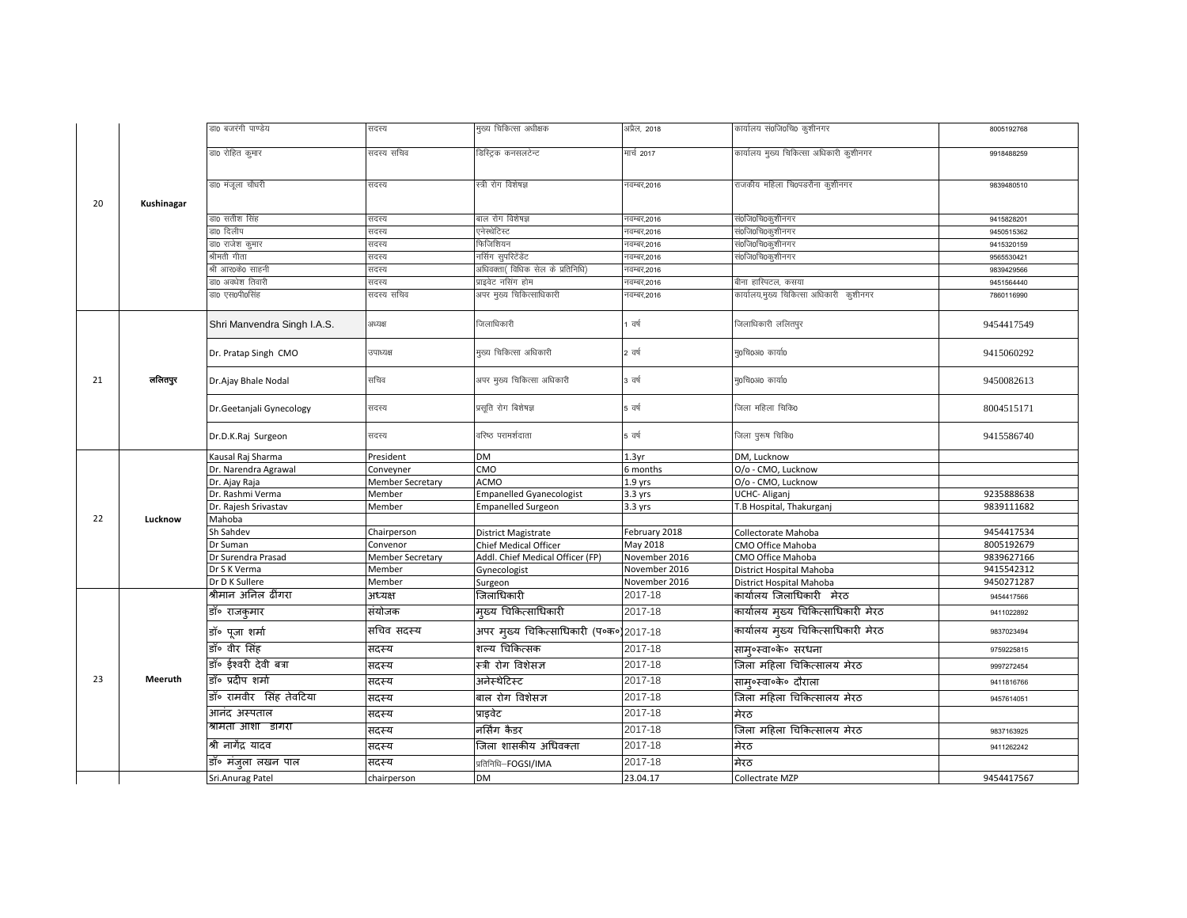|    |            | डा0 बजरंगी पाण्डेय          | सदस्य            | मुख्य चिकित्सा अधीक्षक                 | अप्रैल, 2018      | कार्यालय सं0जि0चि0 कुशीनगर              | 8005192768 |
|----|------------|-----------------------------|------------------|----------------------------------------|-------------------|-----------------------------------------|------------|
|    |            | डा0 रोहित कुमार             | सदस्य सचिव       | डिस्ट्रिक कनसलटेन्ट                    | मार्च 2017        | कार्यालय मुख्य चिकित्सा अधिकारी कुशीनगर | 9918488259 |
| 20 | Kushinagar | डा0 मंजूला चौधरी            | सदस्य            | स्त्री रोग विशेषज्ञ                    | नवम्बर,2016       | राजकीय महिला चि0पडरौना कुशीनगर          | 9839480510 |
|    |            | डा0 सतीश सिंह               | सदस्य            | बाल रोग विशेषज्ञ                       | नवम्बर,2016       | सं0जि0चि0कृशीनगर                        | 9415828201 |
|    |            | डा0 दिलीप                   | सदस्य            | एनेस्थेटिस्ट                           | नवम्बर,2016       | सं0जि0चि0कुशीनगर                        | 9450515362 |
|    |            | डा0 राजेश कुमार             | सदस्य            | फेजिशियन                               | नवम्बर,2016       | सं0जि0चि0कृशीनगर                        | 9415320159 |
|    |            | <sup>श्रीमती गीता</sup>     | सदस्य            | नर्सिग सुपरिटेंडेंट                    | नवम्बर,2016       | सं0जि0चि0कुशीनगर                        | 9565530421 |
|    |            | भी आर0के0 साहनी             | सदस्य            | अधिवक्ता( विधिक सेल के प्रतिनिधि)      | नवम्बर,2016       |                                         | 9839429566 |
|    |            | डा0 अवधेश तिवारी            | सदस्य            | प्राइवेट नसिंग होम                     | नवम्बर,2016       | बीना हास्पिटल, कसया                     | 9451564440 |
|    |            | डा० एस०पी०सिंह              | सदस्य सचिव       | अपर मुख्य चिकित्साधिकारी               | नवम्बर,2016       | कार्यालय,मुख्य चिकित्सा अधिकारी कुशीनगर | 7860116990 |
|    |            | Shri Manvendra Singh I.A.S. | अध्यक्ष          | जिलाधिकारी                             | वर्ष              | जिलाधिकारी ललितपुर                      | 9454417549 |
|    |            | Dr. Pratap Singh CMO        | उपाध्यक्ष        | मुख्य चिकित्सा अधिकारी                 | 2 वर्ष            | मृ0चि0अ0 कार्या0                        | 9415060292 |
| 21 | ललितपुर    | Dr.Ajay Bhale Nodal         | सचिव             | अपर मुख्य चिकित्सा अधिकारी             | 3 वर्ष            | मु0चि0अ0 कार्या0                        | 9450082613 |
|    |            | Dr.Geetanjali Gynecology    | सदस्य            | प्रसूति रोग बिशेषज्ञ                   | 5 वर्ष            | जिला महिला चिकि0                        | 8004515171 |
|    |            | Dr.D.K.Raj Surgeon          | सदस्य            | वरिष्ठ परामर्शदाता                     | 5 वर्ष            | जिला पुरूष चिकि0                        | 9415586740 |
|    |            | Causal Raj Sharma           | President        | <b>DM</b>                              | 1.3 <sub>yr</sub> | DM. Lucknow                             |            |
|    |            | Dr. Narendra Agrawal        | Conveyner        | CMO                                    | 6 months          | O/o - CMO, Lucknow                      |            |
|    |            | Dr. Ajay Raja               | Member Secretary | <b>ACMO</b>                            | $1.9$ yrs         | O/o - CMO, Lucknow                      |            |
|    |            | Dr. Rashmi Verma            | Member           | <b>Empanelled Gyanecologist</b>        | $3.3$ yrs         | UCHC- Aliganj                           | 9235888638 |
| 22 | Lucknow    | Dr. Rajesh Srivastav        | Member           | <b>Empanelled Surgeon</b>              | $3.3$ yrs         | T.B Hospital, Thakurganj                | 9839111682 |
|    |            | Mahoba<br>Sh Sahdev         | Chairperson      | District Magistrate                    | February 2018     | Collectorate Mahoba                     | 9454417534 |
|    |            | Or Suman                    | Convenor         | Chief Medical Officer                  | May 2018          | CMO Office Mahoba                       | 8005192679 |
|    |            | Dr Surendra Prasad          | Member Secretary | Addl. Chief Medical Officer (FP)       | November 2016     | CMO Office Mahoba                       | 9839627166 |
|    |            | Dr S K Verma                | Member           | Gynecologist                           | November 2016     | District Hospital Mahoba                | 9415542312 |
|    |            | Dr D K Sullere              | Member           | Surgeon                                | November 2016     | District Hospital Mahoba                | 9450271287 |
|    |            | श्रीमान अनिल ढींगरा         | अध्यक्ष          | जिलाधिकारी                             | 2017-18           | कार्यालय जिलाधिकारी मेरठ                | 9454417566 |
|    |            | डॉ॰ राजकुमार                | संयोजक           | मुख्य चिकित्साधिकारी                   | 2017-18           | कार्यालय मुख्य चिकित्साधिकारी मेरठ      | 9411022892 |
|    |            | डॉ॰ पूजा शर्मा              | सचिव सदस्य       | अपर मुख्य चिकित्साधिकारी (प॰क॰)2017-18 |                   | कार्यालय मुख्य चिकित्साधिकारी मेरठ      | 9837023494 |
|    |            | डॉ॰ वीर सिंह                | सदस्य            | शल्य चिकित्सक                          | 2017-18           | सामु०स्वा०के० सरधना                     | 9759225815 |
|    |            | डॉ॰ ईश्वरी देवी बत्रा       | सदस्य            | स्त्री रोग विशेसज्ञ                    | 2017-18           | जिला महिला चिकित्सालय मेरठ              | 9997272454 |
| 23 | Meeruth    | डॉ॰ प्रदीप शर्मा            | सदस्य            | अनेस्थेटिस्ट                           | 2017-18           | साम्०स्वा०के० दौराला                    | 9411816766 |
|    |            | डॉ॰ रामवीर सिंह तेवटिया     | सदस्य            | बाल रोग विशेसज्ञ                       | 2017-18           | जिला महिला चिकित्सालय मेरठ              | 9457614051 |
|    |            | आनंद अस्पताल                | सदस्य            | प्राइवेट                               | 2017-18           | मेरठ                                    |            |
|    |            | श्रामता आशा डागरा           | सदस्य            | नर्सिंग कैडर                           | 2017-18           | जिला महिला चिकित्सालय मेरठ              | 9837163925 |
|    |            | श्री नागेंद्र यादव          | सदस्य            | जिला शासकीय अधिवक्ता                   | 2017-18           | मेरठ                                    | 9411262242 |
|    |            | डॉ॰ मंजुला लखन पाल          | सदस्य            | प्रतिनिधि-FOGSI/IMA                    | 2017-18           | मेरठ                                    |            |
|    |            | Sri.Anurag Patel            | chairperson      | DM                                     | 23.04.17          | Collectrate MZP                         | 9454417567 |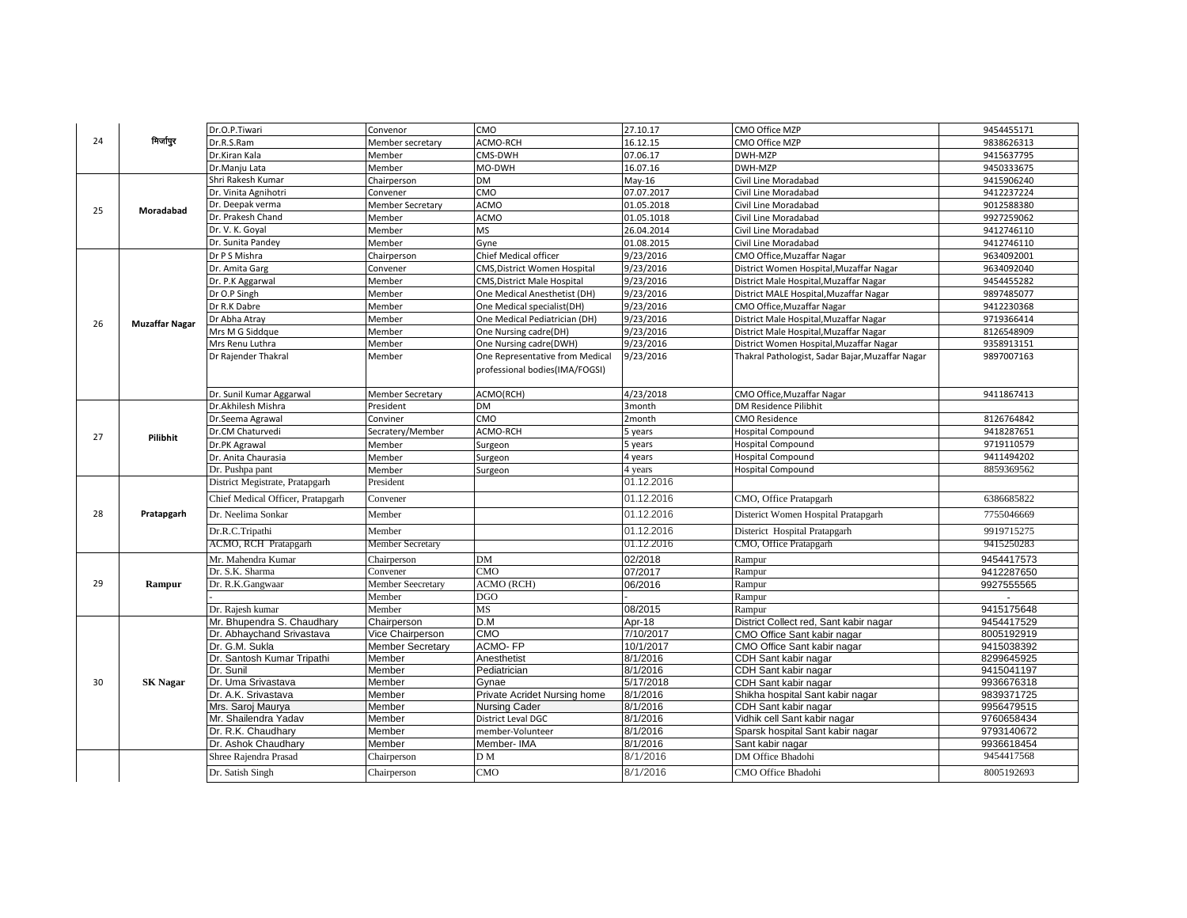|    |                       | Dr.O.P.Tiwari                     | Convenor                | CMO                             | 27.10.17   | CMO Office MZP                                   | 9454455171 |
|----|-----------------------|-----------------------------------|-------------------------|---------------------------------|------------|--------------------------------------------------|------------|
| 24 | मिर्जापुर             | Dr.R.S.Ram                        | Member secretary        | <b>ACMO-RCH</b>                 | 16.12.15   | CMO Office MZP                                   | 9838626313 |
|    |                       | Dr.Kiran Kala                     | Member                  | CMS-DWH                         | 07.06.17   | DWH-MZP                                          | 9415637795 |
|    |                       | Dr.Manju Lata                     | Member                  | MO-DWH                          | 16.07.16   | DWH-MZP                                          | 9450333675 |
|    |                       | Shri Rakesh Kumar                 | Chairperson             | DM                              | $May-16$   | Civil Line Moradabad                             | 9415906240 |
|    |                       | Dr. Vinita Agnihotri              | Convener                | CMO                             | 07.07.2017 | Civil Line Moradabad                             | 9412237224 |
| 25 |                       | Dr. Deepak verma                  | Member Secretary        | <b>ACMO</b>                     | 01.05.2018 | Civil Line Moradabad                             | 9012588380 |
|    | Moradabad             | Dr. Prakesh Chand                 | Member                  | ACMO                            | 01.05.1018 | Civil Line Moradabad                             | 9927259062 |
|    |                       | Dr. V. K. Goval                   | Member                  | <b>MS</b>                       | 26.04.2014 | Civil Line Moradabad                             | 9412746110 |
|    |                       | Dr. Sunita Pandey                 | Member                  | Gyne                            | 01.08.2015 | Civil Line Moradabad                             | 9412746110 |
|    |                       | Dr P S Mishra                     | Chairperson             | Chief Medical officer           | 9/23/2016  | CMO Office, Muzaffar Nagar                       | 9634092001 |
|    |                       | Dr. Amita Garg                    | Convener                | CMS, District Women Hospital    | 9/23/2016  | District Women Hospital, Muzaffar Nagar          | 9634092040 |
|    |                       | Dr. P.K Aggarwal                  | Member                  | CMS, District Male Hospital     | 9/23/2016  | District Male Hospital, Muzaffar Nagar           | 9454455282 |
|    |                       | Dr O.P Singh                      | Member                  | One Medical Anesthetist (DH)    | 9/23/2016  | District MALE Hospital, Muzaffar Nagar           | 9897485077 |
|    |                       | Dr R.K Dabre                      | Member                  | One Medical specialist(DH)      | 9/23/2016  | CMO Office, Muzaffar Nagar                       | 9412230368 |
| 26 | <b>Muzaffar Nagar</b> | Dr Abha Atrav                     | Member                  | One Medical Pediatrician (DH)   | 9/23/2016  | District Male Hospital, Muzaffar Nagar           | 9719366414 |
|    |                       | Mrs M G Siddque                   | Member                  | One Nursing cadre(DH)           | 9/23/2016  | District Male Hospital, Muzaffar Nagar           | 8126548909 |
|    |                       | Mrs Renu Luthra                   | Member                  | One Nursing cadre(DWH)          | 9/23/2016  | District Women Hospital, Muzaffar Nagar          | 9358913151 |
|    |                       | Dr Rajender Thakral               | Member                  | One Representative from Medical | 9/23/2016  | Thakral Pathologist, Sadar Bajar, Muzaffar Nagar | 9897007163 |
|    |                       |                                   |                         | professional bodies(IMA/FOGSI)  |            |                                                  |            |
|    |                       |                                   |                         |                                 |            |                                                  |            |
|    |                       | Dr. Sunil Kumar Aggarwal          | Member Secretary        | ACMO(RCH)                       | 4/23/2018  | CMO Office, Muzaffar Nagar                       | 9411867413 |
|    |                       | Dr.Akhilesh Mishra                | President               | DM                              | 3month     | DM Residence Pilibhit                            |            |
|    |                       | Dr.Seema Agrawal                  | Conviner                | CMO                             | 2month     | <b>CMO Residence</b>                             | 8126764842 |
| 27 | Pilibhit              | Dr.CM Chaturvedi                  | Secratery/Member        | ACMO-RCH                        | 5 years    | <b>Hospital Compound</b>                         | 9418287651 |
|    |                       | Dr.PK Agrawal                     | Member                  | Surgeon                         | 5 years    | Hospital Compound                                | 9719110579 |
|    |                       | Dr. Anita Chaurasia               | Member                  | Surgeon                         | 4 years    | Hospital Compound                                | 9411494202 |
|    |                       | Dr. Pushpa pant                   | Member                  | Surgeon                         | 4 years    | Hospital Compound                                | 8859369562 |
|    |                       | District Megistrate, Pratapgarh   | President               |                                 | 01.12.2016 |                                                  |            |
|    |                       | Chief Medical Officer, Pratapgarh | Convener                |                                 | 01.12.2016 | CMO, Office Pratapgarh                           | 6386685822 |
| 28 | Pratapgarh            | Dr. Neelima Sonkar                | Member                  |                                 | 01.12.2016 | Disterict Women Hospital Pratapgarh              | 7755046669 |
|    |                       | Dr.R.C.Tripathi                   | Member                  |                                 | 01.12.2016 | Disterict Hospital Pratapgarh                    | 9919715275 |
|    |                       | ACMO, RCH Pratapgarh              | Member Secretary        |                                 | 01.12.2016 | CMO, Office Pratapgarh                           | 9415250283 |
|    |                       | Mr. Mahendra Kumar                | Chairperson             | DM                              | 02/2018    | Rampur                                           | 9454417573 |
|    |                       | Dr. S.K. Sharma                   | Convener                | CMO                             | 07/2017    | Rampur                                           | 9412287650 |
| 29 | Rampur                | Dr. R.K.Gangwaar                  | Member Seecretary       | <b>ACMO</b> (RCH)               | 06/2016    | Rampur                                           | 9927555565 |
|    |                       |                                   | Member                  | DGO                             |            | Rampur                                           |            |
|    |                       | Dr. Rajesh kumar                  | Member                  | MS                              | 08/2015    | Rampur                                           | 9415175648 |
|    |                       | Mr. Bhupendra S. Chaudhary        | Chairperson             | D.M                             | Apr-18     | District Collect red, Sant kabir nagar           | 9454417529 |
|    |                       | Dr. Abhaychand Srivastava         | Vice Chairperson        | CMO                             | 7/10/2017  | CMO Office Sant kabir nagar                      | 8005192919 |
|    |                       | Dr. G.M. Sukla                    | <b>Member Secretary</b> | <b>ACMO-FP</b>                  | 10/1/2017  | CMO Office Sant kabir nagar                      | 9415038392 |
|    |                       | Dr. Santosh Kumar Tripathi        | Member                  | Anesthetist                     | 8/1/2016   | CDH Sant kabir nagar                             | 8299645925 |
|    |                       | Dr. Sunil                         | Member                  | Pediatrician                    | 8/1/2016   | CDH Sant kabir nagar                             | 9415041197 |
| 30 | <b>SK Nagar</b>       | Dr. Uma Srivastava                | Member                  | Gvnae                           | 5/17/2018  | CDH Sant kabir nagar                             | 9936676318 |
|    |                       | Dr. A.K. Srivastava               | Member                  | Private Acridet Nursing home    | 8/1/2016   | Shikha hospital Sant kabir nagar                 | 9839371725 |
|    |                       | Mrs. Saroj Maurya                 | Member                  | Nursing Cader                   | 8/1/2016   | CDH Sant kabir nagar                             | 9956479515 |
|    |                       | Mr. Shailendra Yadav              | Member                  | District Leval DGC              | 8/1/2016   | Vidhik cell Sant kabir nagar                     | 9760658434 |
|    |                       | Dr. R.K. Chaudhary                | Member                  | member-Volunteer                | 8/1/2016   | Sparsk hospital Sant kabir nagar                 | 9793140672 |
|    |                       | Dr. Ashok Chaudhary               | Member                  | Member-IMA                      | 8/1/2016   | Sant kabir nagar                                 | 9936618454 |
|    |                       | Shree Rajendra Prasad             | Chairperson             | DМ                              | 8/1/2016   | DM Office Bhadohi                                | 9454417568 |
|    |                       | Dr. Satish Singh                  | Chairperson             | CMO                             | 8/1/2016   | CMO Office Bhadohi                               | 8005192693 |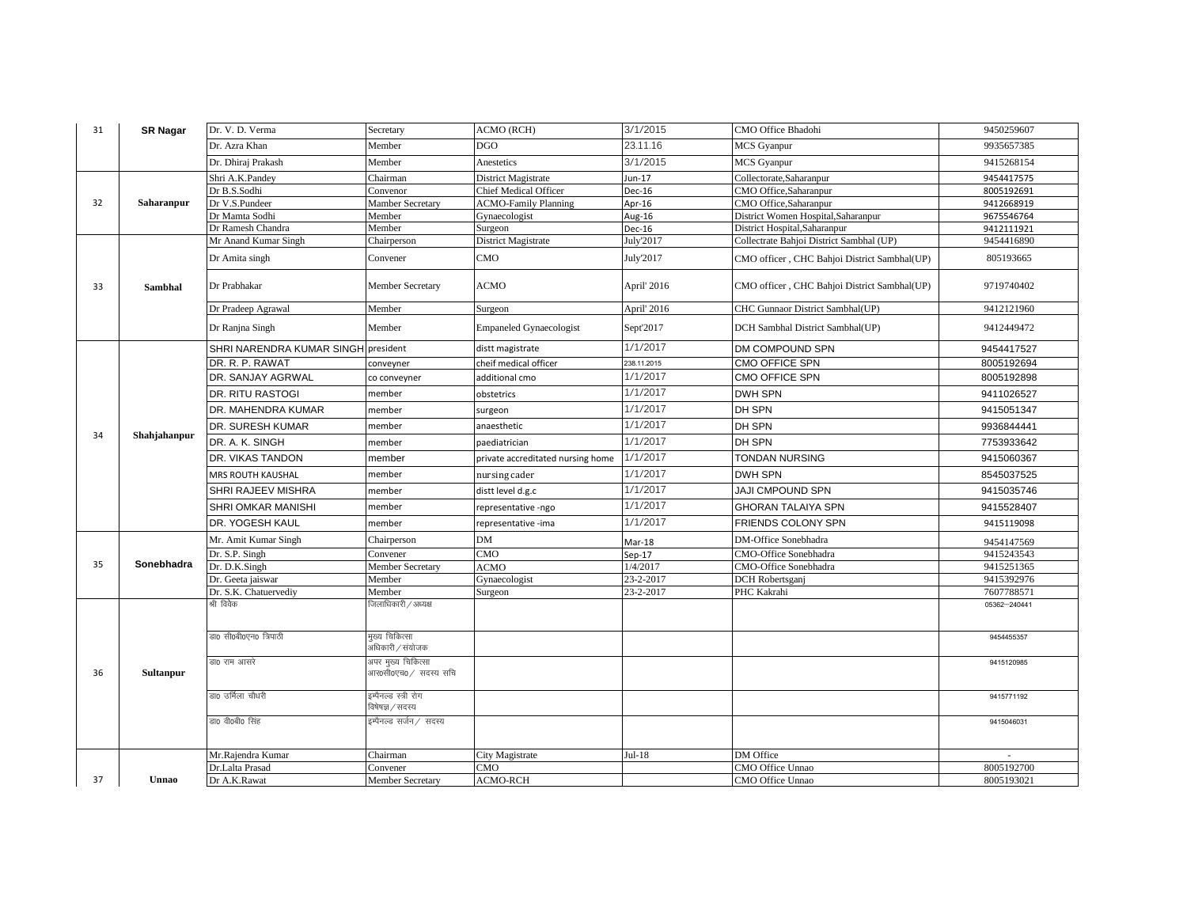| 31 | <b>SR Nagar</b> | Dr. V. D. Verma           | Secretary                                   | <b>ACMO</b> (RCH)                 | 3/1/2015    | CMO Office Bhadohi                           | 9450259607   |
|----|-----------------|---------------------------|---------------------------------------------|-----------------------------------|-------------|----------------------------------------------|--------------|
|    |                 | Dr. Azra Khan             | Member                                      | <b>DGO</b>                        | 23.11.16    | <b>MCS</b> Gyanpur                           | 9935657385   |
|    |                 | Dr. Dhiraj Prakash        | Member                                      | Anestetics                        | 3/1/2015    | <b>MCS</b> Gyanpur                           | 9415268154   |
|    |                 | Shri A.K.Pandey           | Chairman                                    | District Magistrate               | Jun-17      | Collectorate, Saharanpur                     | 9454417575   |
|    |                 | Dr B.S.Sodhi              | Convenor                                    | <b>Chief Medical Officer</b>      | Dec-16      | CMO Office, Saharanpur                       | 8005192691   |
| 32 | Saharanpur      | Dr V.S.Pundeer            | <b>Mamber Secretary</b>                     | <b>ACMO-Family Planning</b>       | Apr-16      | CMO Office, Saharanpur                       | 9412668919   |
|    |                 | Dr Mamta Sodhi            | Member                                      | Gynaecologist                     | Aug-16      | District Women Hospital, Saharanpur          | 9675546764   |
|    |                 | Dr Ramesh Chandra         | Member                                      | Surgeon                           | Dec-16      | District Hospital, Saharanpur                | 9412111921   |
|    |                 | Mr Anand Kumar Singh      | Chairperson                                 | District Magistrate               | July'2017   | Collectrate Bahjoi District Sambhal (UP)     | 9454416890   |
|    |                 | Dr Amita singh            | Convener                                    | CMO                               | July'2017   | CMO officer, CHC Bahjoi District Sambhal(UP) | 805193665    |
| 33 | Sambhal         | Dr Prabhakar              | Member Secretary                            | <b>ACMO</b>                       | April' 2016 | CMO officer, CHC Bahjoi District Sambhal(UP) | 9719740402   |
|    |                 | Dr Pradeep Agrawal        | Member                                      | Surgeon                           | April' 2016 | CHC Gunnaor District Sambhal(UP)             | 9412121960   |
|    |                 | Dr Ranjna Singh           | Member                                      | <b>Empaneled Gynaecologist</b>    | Sept'2017   | DCH Sambhal District Sambhal(UP)             | 9412449472   |
|    |                 | SHRI NARENDRA KUMAR SINGH | president                                   | distt magistrate                  | 1/1/2017    | DM COMPOUND SPN                              | 9454417527   |
|    |                 | DR. R. P. RAWAT           | conveyner                                   | cheif medical officer             | 238.11.2015 | CMO OFFICE SPN                               | 8005192694   |
|    |                 | DR. SANJAY AGRWAL         | co conveyner                                | additional cmo                    | 1/1/2017    | CMO OFFICE SPN                               | 8005192898   |
|    |                 | DR. RITU RASTOGI          | member                                      | obstetrics                        | 1/1/2017    | DWH SPN                                      | 9411026527   |
|    | Shahjahanpur    | DR. MAHENDRA KUMAR        | member                                      | surgeon                           | 1/1/2017    | DH SPN                                       | 9415051347   |
| 34 |                 | DR. SURESH KUMAR          | member                                      | anaesthetic                       | 1/1/2017    | DH SPN                                       | 9936844441   |
|    |                 | DR. A. K. SINGH           | member                                      | paediatrician                     | 1/1/2017    | DH SPN                                       | 7753933642   |
|    |                 | DR. VIKAS TANDON          | member                                      | private accreditated nursing home | 1/1/2017    | <b>TONDAN NURSING</b>                        | 9415060367   |
|    |                 | MRS ROUTH KAUSHAL         | member                                      | nursing cader                     | 1/1/2017    | DWH SPN                                      | 8545037525   |
|    |                 | SHRI RAJEEV MISHRA        | member                                      | distt level d.g.c                 | 1/1/2017    | JAJI CMPOUND SPN                             | 9415035746   |
|    |                 | <b>SHRI OMKAR MANISHI</b> | member                                      | representative -ngo               | 1/1/2017    | <b>GHORAN TALAIYA SPN</b>                    | 9415528407   |
|    |                 | DR. YOGESH KAUL           | member                                      | representative -ima               | 1/1/2017    | FRIENDS COLONY SPN                           | 9415119098   |
|    |                 | Mr. Amit Kumar Singh      | Chairperson                                 | DM                                | Mar-18      | DM-Office Sonebhadra                         | 9454147569   |
|    |                 | Dr. S.P. Singh            | Convener                                    | CMO                               | $Sep-17$    | CMO-Office Sonebhadra                        | 9415243543   |
| 35 | Sonebhadra      | Dr. D.K.Singh             | <b>Member Secretary</b>                     | <b>ACMO</b>                       | 1/4/2017    | CMO-Office Sonebhadra                        | 9415251365   |
|    |                 | Dr. Geeta jaiswar         | Member                                      | Gynaecologist                     | 23-2-2017   | DCH Robertsganj                              | 9415392976   |
|    |                 | Dr. S.K. Chatuervediy     | Member                                      | Surgeon                           | 23-2-2017   | PHC Kakrahi                                  | 7607788571   |
|    |                 | श्री विवेक                | जेलाधिकारी / अध्यक्ष                        |                                   |             |                                              | 05362-240441 |
|    |                 | डा0 सी0बी0एन0 त्रिपाठी    | मुख्य चिकित्सा<br>अधिकारी / संयोजक          |                                   |             |                                              | 9454455357   |
| 36 | Sultanpur       | डा0 राम आसरे              | अपर मुख्य चिकित्सा<br>आर0सी0एच0 / सदस्य सचि |                                   |             |                                              | 9415120985   |
|    |                 | डा0 उर्मिला चौधरी         | इम्पैनल्ड स्त्री रोग<br>विषेषज्ञ / सदस्य    |                                   |             |                                              | 9415771192   |
|    |                 | डा0 वी0बी0 सिंह           | इम्पैनल्ड सर्जन ⁄ सदस्य                     |                                   |             |                                              | 9415046031   |
|    |                 | Mr.Rajendra Kumar         | Chairman                                    | City Magistrate                   | $Jul-18$    | DM Office                                    |              |
|    |                 | Dr.Lalta Prasad           | Convener                                    | CMO                               |             | CMO Office Unnao                             | 8005192700   |
| 37 | Unnao           | Dr A.K.Rawat              | Member Secretary                            | <b>ACMO-RCH</b>                   |             | CMO Office Unnao                             | 8005193021   |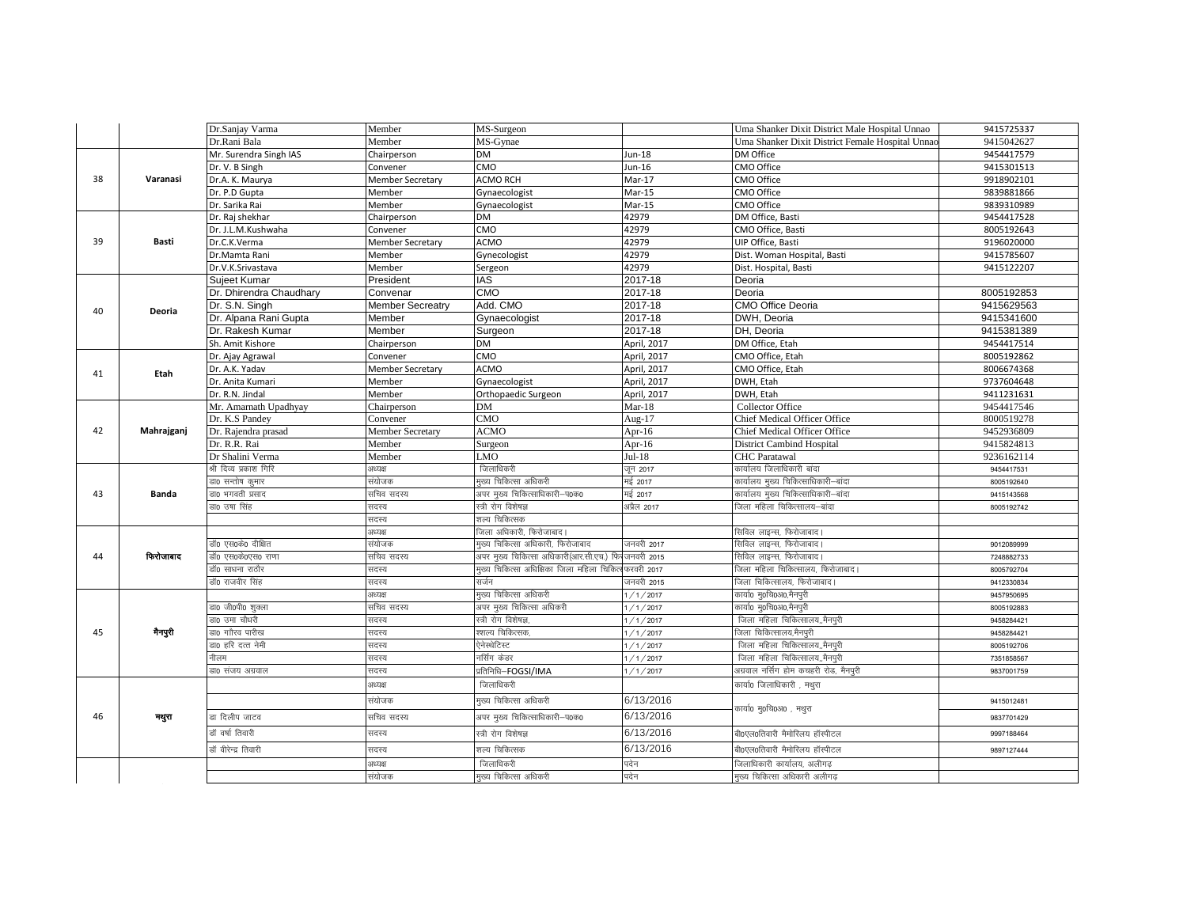|    |              | Dr.Sanjay Varma         | Member                  | MS-Surgeon                                |             | Uma Shanker Dixit District Male Hospital Unnao   | 9415725337 |
|----|--------------|-------------------------|-------------------------|-------------------------------------------|-------------|--------------------------------------------------|------------|
|    |              | Dr.Rani Bala            | Member                  | MS-Gynae                                  |             | Uma Shanker Dixit District Female Hospital Unnac | 9415042627 |
|    |              | Mr. Surendra Singh IAS  | Chairperson             | <b>DM</b>                                 | Jun-18      | DM Office                                        | 9454417579 |
|    |              | Dr. V. B Singh          | Convener                | CMO                                       | Jun-16      | CMO Office                                       | 9415301513 |
| 38 | Varanasi     | Dr.A. K. Maurya         | <b>Member Secretary</b> | <b>ACMO RCH</b>                           | Mar-17      | CMO Office                                       | 9918902101 |
|    |              | Dr. P.D Gupta           | Member                  | Gynaecologist                             | Mar-15      | CMO Office                                       | 9839881866 |
|    |              | Dr. Sarika Rai          | Member                  | Gynaecologist                             | Mar-15      | CMO Office                                       | 9839310989 |
|    |              | Dr. Raj shekhar         | Chairperson             | <b>DM</b>                                 | 42979       | DM Office, Basti                                 | 9454417528 |
|    |              | Dr. J.L.M.Kushwaha      | Convener                | CMO                                       | 42979       | CMO Office, Basti                                | 8005192643 |
| 39 | Basti        | Dr.C.K.Verma            | <b>Member Secretary</b> | <b>ACMO</b>                               | 42979       | UIP Office, Basti                                | 9196020000 |
|    |              | Dr.Mamta Rani           | Member                  | Gynecologist                              | 42979       | Dist. Woman Hospital, Basti                      | 9415785607 |
|    |              | Dr.V.K.Srivastava       | Member                  | Sergeon                                   | 42979       | Dist. Hospital, Basti                            | 9415122207 |
|    |              | Sujeet Kumar            | President               | <b>IAS</b>                                | $2017 - 18$ | Deoria                                           |            |
|    |              | Dr. Dhirendra Chaudhary | Convenar                | CMO                                       | 2017-18     | Deoria                                           | 8005192853 |
| 40 | Deoria       | Dr. S.N. Singh          | <b>Member Secreatry</b> | Add. CMO                                  | 2017-18     | CMO Office Deoria                                | 9415629563 |
|    |              | Dr. Alpana Rani Gupta   | Member                  | Gynaecologist                             | 2017-18     | DWH, Deoria                                      | 9415341600 |
|    |              | Dr. Rakesh Kumar        | Member                  | Surgeon                                   | 2017-18     | DH, Deoria                                       | 9415381389 |
|    |              | Sh. Amit Kishore        | Chairperson             | <b>DM</b>                                 | April, 2017 | DM Office. Etah                                  | 9454417514 |
|    |              | Dr. Ajay Agrawal        | Convener                | CMO                                       | April, 2017 | CMO Office, Etah                                 | 8005192862 |
| 41 | Etah         | Dr. A.K. Yadav          | <b>Member Secretary</b> | <b>ACMO</b>                               | April, 2017 | CMO Office, Etah                                 | 8006674368 |
|    |              | Dr. Anita Kumari        | Member                  | Gynaecologist                             | April, 2017 | DWH, Etah                                        | 9737604648 |
|    |              | Dr. R.N. Jindal         | Member                  | Orthopaedic Surgeon                       | April, 2017 | DWH, Etah                                        | 9411231631 |
|    |              | Mr. Amarnath Upadhyay   | Chairperson             | <b>DM</b>                                 | $Mar-18$    | <b>Collector Office</b>                          | 9454417546 |
|    | Mahrajganj   | Dr. K.S Pandey          | Convener                | CMO                                       | Aug-17      | <b>Chief Medical Officer Office</b>              | 8000519278 |
| 42 |              | Dr. Rajendra prasad     | <b>Member Secretary</b> | <b>ACMO</b>                               | Apr-16      | Chief Medical Officer Office                     | 9452936809 |
|    |              | Dr. R.R. Rai            | Member                  | Surgeon                                   | Apr-16      | District Cambind Hospital                        | 9415824813 |
|    |              | Dr Shalini Verma        | Member                  | <b>LMO</b>                                | $Jul-18$    | <b>CHC</b> Paratawal                             | 9236162114 |
|    | <b>Banda</b> | श्री दिव्य प्रकाश गिरि  | अध्यक्ष                 | जिलाधिकरी                                 | जून 2017    | कार्यालय जिलाधिकारी बांदा                        | 9454417531 |
|    |              | डा0 सन्तोष कुमार        | संयोजक                  | मुख्य चिकित्सा अधिकरी                     | मई 2017     | कार्यालय मुख्य चिकित्साधिकारी–बांदा              | 8005192640 |
| 43 |              | डा0 भगवती प्रसाद        | सचिव सदस्य              | अपर मुख्य चिकित्साधिकारी–प0क0             | मई 2017     | कार्यालय मुख्य चिकित्साधिकारी–बांदा              | 9415143568 |
|    |              | डा0 उषा सिंह            | सदस्य                   | स्त्री रोग विशेषज्ञ                       | अप्रैल 2017 | जेला महिला चिकित्सालय–बांदा                      | 8005192742 |
|    |              |                         | सदस्य                   | शल्य चिकित्सक                             |             |                                                  |            |
|    |              |                         | अध्यक्ष                 | जिला अधिकारी, फिरोजाबाद।                  |             | सिविल लाइन्स, फिरोजाबाद।                         |            |
|    |              | डॉ0 एस0के0 दीक्षित      | संयोजक                  | मुख्य चिकित्सा अधिकारी, फिरोजाबाद         | जनवरी 2017  | सिविल लाइन्स, फिरोजाबाद।                         | 9012089999 |
| 44 | फिरोजाबाद    | डॉ0 एस0के0एस0 राणा      | सचिव सदस्य              | अपर मुख्य चिकित्सा अधिकारी(आर.सी.एच.) फि  | जनवरी 2015  | .<br>सिविल लाइन्स, फिरोजाबाद।                    | 7248882733 |
|    |              | डॉ0 साधना राठौर         | सदस्य                   | मुख्य चिकित्सा अधिक्षिका जिला महिला चिकित | फरवरी 2017  | जेला महिला चिकित्सालय, फिरोजाबाद।                | 8005792704 |
|    |              | डॉ0 राजवीर सिंह         | सदस्य                   | सर्जन                                     | जनवरी 2015  | जिला चिकित्सालय, फिरोजाबाद।                      | 9412330834 |
|    |              |                         | अध्यक्ष                 | मुख्य चिकित्सा अधिकरी                     | 1/1/2017    | कार्या0 म्0चि0अ0,मैनपुरी                         | 9457950695 |
|    |              | डा0 जी0पी0 शुक्ला       | सचिव सदस्य              | अपर मुख्य चिकित्सा अधिकरी                 | 1/1/2017    | कार्या0 म्0चि0अ0,मैनपुरी                         | 8005192883 |
|    |              | डा0 उमा चौधरी           | सदस्य                   | स्त्री रोग विशेषज्ञ,                      | 1/1/2017    | जिला महिला चिकित्सालय,,मैनपुरी                   | 9458284421 |
| 45 | नैनपुरी      | डा0 गाौरव पारीख         | सदस्य                   | श्शल्य चिकित्सक,                          | 1/1/2017    | जिला चिकित्सालय,मैनपुरी                          | 9458284421 |
|    |              | डा0 हरि दत्त नेमी       | सदस्य                   | ऐनेस्थेटिस्ट                              | 1/1/2017    | जिला महिला चिकित्सालय, मैनपुरी                   | 8005192706 |
|    |              | नीलम                    | सदस्य                   | नर्सिंग केडर                              | 1/1/2017    | जिला महिला चिकित्सालय,,मैनपुरी                   | 7351858567 |
|    |              | डा0 संजय अग्रवाल        | सदस्य                   | प्रतिनिधि–FOGSI/IMA                       | 1/1/2017    | अग्रवाल नर्सिंग होम कचहरी रोड, मैनपुरी           | 9837001759 |
|    |              |                         | अध्यक्ष                 | जिलाधिकरी                                 |             | कार्या0 जिलाधिकारी , मथुरा                       |            |
|    |              |                         | संयोजक                  | मुख्य चिकित्सा अधिकरी                     | 6/13/2016   |                                                  | 9415012481 |
| 46 | मथुरा        | डा दिलीप जाटव           | सचिव सदस्य              | अपर मुख्य चिकित्साधिकारी–प0क0             | 6/13/2016   | कार्या0 मु0चि0अ0 , मथुरा                         | 9837701429 |
|    |              | डॉ वर्षा तिवारी         | सदस्य                   | स्त्री रोग विशेषज्ञ                       | 6/13/2016   | बी0एल0तिवारी मैमोरिलय हॉस्पीटल                   | 9997188464 |
|    |              | डॉ वीरेन्द्र तिवारी     | सदस्य                   | शल्य चिकित्सक                             | 6/13/2016   | बी0एल0तिवारी मैमोरिलय हॉस्पीटल                   | 9897127444 |
|    |              |                         | अध्यक्ष                 | जिलाधिकरी                                 | पदेन        | जिलाधिकारी कार्यालय, अलीगढ़                      |            |
|    |              |                         | संयोजक                  | मुख्य चिकित्सा अधिकरी                     | पदेन        | मुख्य चिकित्सा अधिकारी अलीगढ़                    |            |
|    |              |                         |                         |                                           |             |                                                  |            |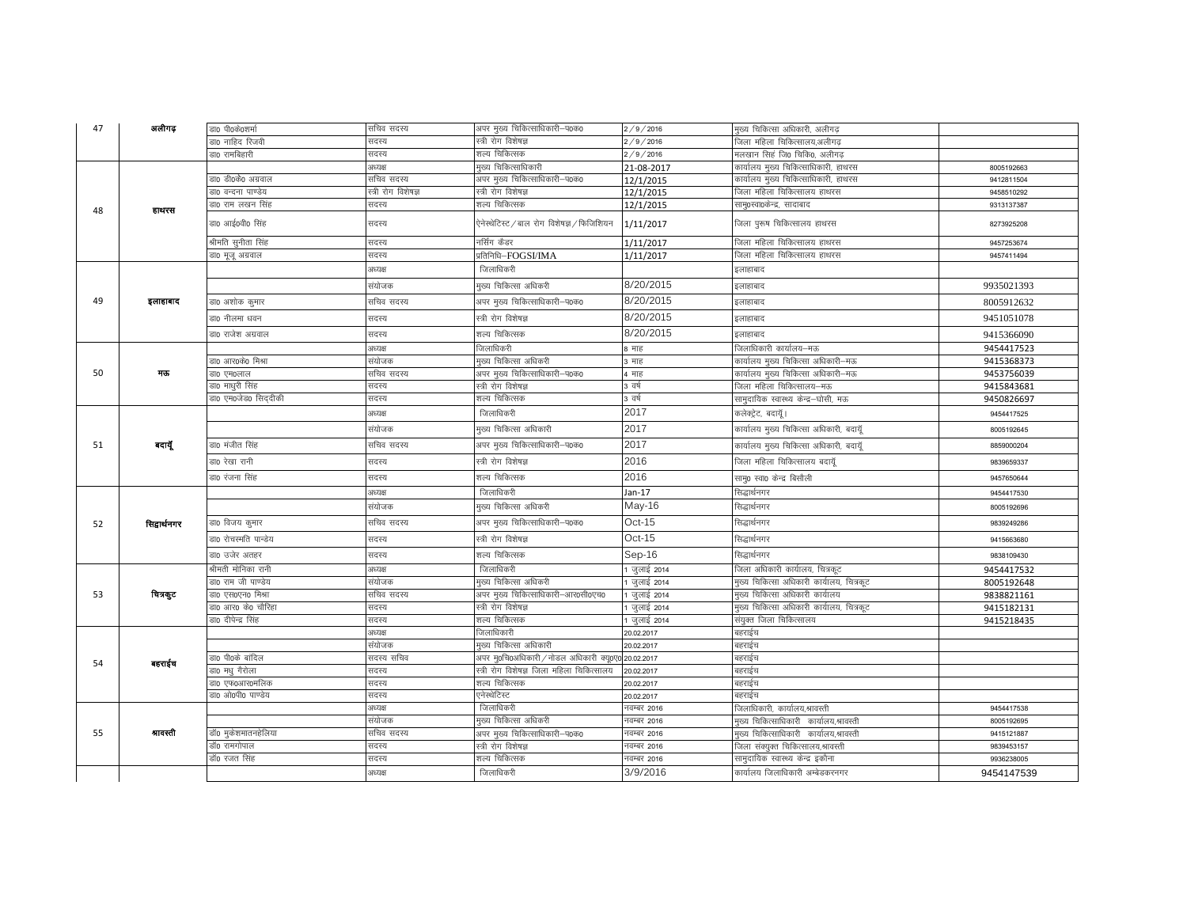| 47 | अलीगढ़       | डा0 पी0के0शर्मा         | सचिव सदस्य          | अपर मुख्य चिकित्साधिकारी–प0क0              | 2/9/2016    | मुख्य चिकित्सा अधिकारी, अलीगढ             |            |
|----|--------------|-------------------------|---------------------|--------------------------------------------|-------------|-------------------------------------------|------------|
|    |              | डा0 नाहिद रिजवी         | सदस्य               | स्त्री रोग विशेषज्ञ                        | 2/9/2016    | जिला महिला चिकित्सालय,अलीगढ               |            |
|    |              | डा0 रामबिहारी           | सदस्य               | शल्य चिकित्सक                              | 2/9/2016    | मलखान सिहं जि0 चिकि0, अलीगढ               |            |
|    |              |                         | अध्यक्ष             | मुख्य चिकित्साधिकारी                       | 21-08-2017  | कार्यालय मुख्य चिकित्साधिकारी, हाथरस      | 8005192663 |
|    |              | डा0 डी0के0 अग्रवाल      | सचिव सदस्य          | अपर मुख्य चिकित्साधिकारी–प0क0              | 12/1/2015   | कार्यालय मुख्य चिकित्साधिकारी, हाथरस      | 9412811504 |
|    |              | डा0 वन्दना पाण्डेय      | स्त्री रोग विशेषज्ञ | स्त्री रोग विशेषज्ञ                        | 12/1/2015   | जिला महिला चिकित्सालय हाथरस               | 9458510292 |
| 48 | हाथरस        | डा0 राम लखन सिंह        | सदस्य               | शल्य चिकित्सक                              | 12/1/2015   | सामु0स्वा0केन्द्र, सादाबाद                | 9313137387 |
|    |              | डा0 आई0वी0 सिंह         | सदस्य               | ऐनेस्थेटिस्ट / बाल रोग विशेषज्ञ / फिजिशियन | 1/11/2017   | जिला पुरूष चिकित्सालय हाथरस               | 8273925208 |
|    |              | श्रीमति सुनीता सिंह     | सदस्य               | नर्सिंग कैडर                               | 1/11/2017   | जिला महिला चिकित्सालय हाथरस               | 9457253674 |
|    |              | डा0 मूजू अग्रवाल        | सदस्य               | प्रतिनिधि-FOGSI/IMA                        | 1/11/2017   | जिला महिला चिकित्सालय हाथरस               | 9457411494 |
|    |              |                         | अध्यक्ष             | जिलाधिकरी                                  |             | इलाहाबाद                                  |            |
|    |              |                         | संयोजक              | मुख्य चिकित्सा अधिकरी                      | 8/20/2015   | इलाहाबाद                                  | 9935021393 |
| 49 | इलाहाबाद     | डा0 अशोक कुमार          | सचिव सदस्य          | अपर मुख्य चिकित्साधिकारी-प0क0              | 8/20/2015   | इलाहाबाद                                  | 8005912632 |
|    |              | डा0 नीलमा धवन           | सदस्य               | स्त्री रोग विशेषज्ञ                        | 8/20/2015   | इलाहाबाद                                  | 9451051078 |
|    |              | डा0 राजेश अग्रवाल       | सदस्य               | शल्य चिकित्सक                              | 8/20/2015   | इलाहाबाद                                  | 9415366090 |
|    |              |                         | अध्यक्ष             | जिलाधिकरी                                  | 8 माह       | जिलाधिकारी कार्यालय—मऊ                    | 9454417523 |
|    |              | डा0 आर0के0 मिश्रा       | संयोजक              | मुख्य चिकित्सा अधिकरी                      | ३ माह       | कार्यालय मुख्य चिकित्सा अधिकारी–मऊ        | 9415368373 |
| 50 | मऊ           | डा० एम०लाल              | सचिव सदस्य          | अपर मुख्य चिकित्साधिकारी–प0क0              | 4 माह       | कार्यालय मुख्य चिकित्सा अधिकारी–मऊ        | 9453756039 |
|    |              | डा0 माध् <b>री</b> सिंह | सदस्य               | स्त्री रोग विशेषज्ञ                        | 3 वर्ष      | जिला महिला चिकित्सालय–मऊ                  | 9415843681 |
|    |              | डा0 एम0जेड0 सिददीकी     | सदस्य               | शल्य चिकित्सक                              | 3 वर्ष      | सामुदायिक स्वास्थ्य केन्द्र—घोसी, मऊ      | 9450826697 |
|    |              |                         | अध्यक्ष             | जिलाधिकरी                                  | 2017        | कलेक्ट्रेट, बदायूॅ।                       | 9454417525 |
|    |              |                         | संयोजक              | मुख्य चिकित्सा अधिकारी                     | 2017        | कार्यालय मुख्य चिकित्सा अधिकारी, बदायूॅ   | 8005192645 |
| 51 | बदायूँ       | डा0 मंजीत सिंह          | सचिव सदस्य          | अपर मुख्य चिकित्साधिकारी-प0क0              | 2017        | कार्यालय मुख्य चिकित्सा अधिकारी, बदायूॅ   | 8859000204 |
|    |              | डा0 रेखा रानी           | सदस्य               | स्त्री रोग विशेषज्ञ                        | 2016        | जिला महिला चिकित्सालय बदायॅ्              | 9839659337 |
|    |              | डा0 रंजना सिंह          | सदस्य               | शल्य चिकित्सक                              | 2016        | साम्0 स्वा0 केन्द्र बिसौली                | 9457650644 |
|    |              |                         | अध्यक्ष             | जिलाधिकरी                                  | $Jan-17$    | सिद्धार्थनगर                              | 9454417530 |
|    |              |                         | संयोजक              | मख्य चिकित्सा अधिकरी                       | $May-16$    | सिद्धार्थनगर                              | 8005192696 |
| 52 | सिद्वार्थनगर | डा0 विजय कुमार          | सचिव सदस्य          | अपर मुख्य चिकित्साधिकारी–प0क0              | $Oct-15$    | सिद्धार्थनगर                              | 9839249286 |
|    |              | डा0 रोचस्मति पान्डेय    | सदस्य               | स्त्री रोग विशेषज्ञ                        | $Oct-15$    | सिद्धार्थनगर                              | 9415663680 |
|    |              | डा0 उजेर अतहर           | सदस्य               | शल्य चिकित्सक                              | $Sep-16$    | सिद्धार्थनगर                              | 9838109430 |
|    |              | श्रीमती मोनिका रानी     | अध्यक्ष             | जिलाधिकरी                                  | जुलाई 2014  | जिला अधिकारी कार्यालय, चित्रकुट           | 9454417532 |
|    |              | डा0 राम जी पाण्डेय      | संयोजक              | मुख्य चिकित्सा अधिकरी                      | जुलाई 2014  | मुख्य चिकित्सा अधिकारी कार्यालय, चित्रकूट | 8005192648 |
| 53 | चित्रकूट     | डा० एस०एन० मिश्रा       | सचिव सदस्य          | अपर मुख्य चिकित्साधिकारी–आर0सी0एच0         | जुलाई 2014  | मुख्य चिकित्सा अधिकारी कार्यालय           | 9838821161 |
|    |              | डा0 आर0 के0 चौरिहा      | सदस्य               | स्त्री रोग विशेषज्ञ                        | जुलाई 2014  | मुख्य चिकित्सा अधिकारी कार्यालय, चित्रकूट | 9415182131 |
|    |              | डा0 दीपेन्द्र सिंह      | सदस्य               | शल्य चिकित्सक                              | जुलाई 2014  | संयुक्त जिला चिकित्सालय                   | 9415218435 |
|    |              |                         | अध्यक्ष             | जिलाधिकारी                                 | 20.02.2017  | बहराईच                                    |            |
|    |              |                         | संयोजक              | मख्य चिकित्सा अधिकारी                      | 20.02.2017  | बहराईच                                    |            |
| 54 | बहराईच       | डा0 पी0के बांदिल        | सदस्य सचिव          | अपर मु0चि0अधिकारी / नोडल अधिकारी क्यू0     | 20.02.2017  | बहराईच                                    |            |
|    |              | डा0 मध् गैरोला          | सदस्य               | स्त्री रोग विशेषज्ञ जिला महिला चिकित्सालय  | 20.02.2017  | बहराईच                                    |            |
|    |              | डा0 एफ0आर0मलिक          | सदस्य               | शल्य चिकित्सक                              | 20.02.2017  | बहराईच                                    |            |
|    |              | डा0 ओ0पी0 पाण्डेय       | सदस्य               | एनेस्थेटिस्ट                               | 20.02.2017  | बहराईच                                    |            |
|    |              |                         | अध्यक्ष             | जिलाधिकरी                                  | नवम्बर 2016 | जिलाधिकारी, कार्यालय,श्रावस्ती            | 9454417538 |
|    |              |                         | संयोजक              | मुख्य चिकित्सा अधिकरी                      | नवम्बर 2016 | मुख्य चिकित्साधिकारी  कार्यालय,श्रावस्ती  | 8005192695 |
| 55 | श्रावस्ती    | डॉ0 मुकेशमातनहेलिया     | सचिव सदस्य          | अपर मुख्य चिकित्साधिकारी–प0क0              | नवम्बर 2016 | मुख्य चिकित्साधिकारी कार्यालय,श्रावस्ती   | 9415121887 |
|    |              | डॉ0 रामगोपाल            | सदस्य               | स्त्री रोग विशेषज्ञ                        | नवम्बर 2016 | जिला संक्युक्त चिकित्सालय,श्रावस्ती       | 9839453157 |
|    |              | डॉ0 रजत सिंह            | सदस्य               | शल्य चिकित्सक                              | नवम्बर 2016 | सामुदायिक स्वास्थ्य केन्द्र इकौना         | 9936238005 |
|    |              |                         | अध्यक्ष             | जिलाधिकरी                                  | 3/9/2016    | कार्यालय जिलाधिकारी अम्बेडकरनगर           | 9454147539 |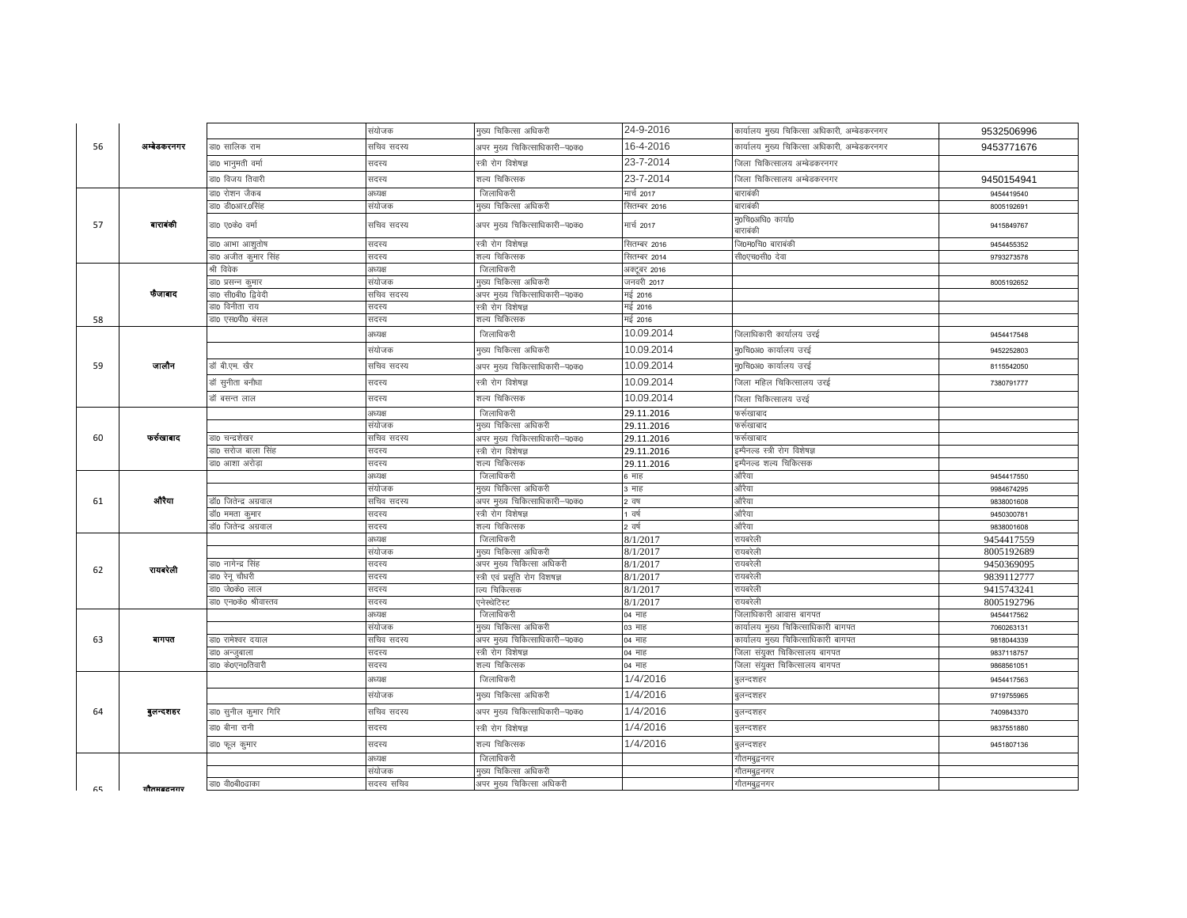|    |             |                               | संयोजक         | मुख्य चिकित्सा अधिकरी                              | 24-9-2016            | कार्यालय मुख्य चिकित्सा अधिकारी, अम्बेडकरनगर | 9532506996               |
|----|-------------|-------------------------------|----------------|----------------------------------------------------|----------------------|----------------------------------------------|--------------------------|
| 56 | अम्बेडकरनगर | डा0 सालिक राम                 | सचिव सदस्य     | अपर मुख्य चिकित्साधिकारी–प0क0                      | 16-4-2016            | कार्यालय मुख्य चिकित्सा अधिकारी, अम्बेडकरनगर |                          |
|    |             |                               |                |                                                    | 23-7-2014            |                                              | 9453771676               |
|    |             | डा0 भानुमती वर्मा             | सदस्य          | स्त्री रोग विशेषज्ञ                                |                      | जिला चिकित्सालय अम्बेडकरनगर                  |                          |
|    |             | डा0 विजय तिवारी               | सदस्य          | शल्य चिकित्सक                                      | 23-7-2014            | जिला चिकित्सालय अम्बेडकरनगर                  | 9450154941               |
|    |             | डा0 रोशन जैकब                 | अध्यक्ष        | जिलाधिकरी                                          | मार्च 2017           | बाराबंकी                                     | 9454419540               |
|    |             | डा0 डी0आर.0सिंह               | संयोजक         | मुख्य चिकित्सा अधिकरी                              | सितम्बर 2016         | बाराबंकी                                     | 8005192691               |
| 57 | बाराबंकी    | डा0 ए0के0 वर्मा               | सचिव सदस्य     | अपर मुख्य चिकित्साधिकारी-प0क0                      | मार्च 2017           | मु0चि0अधि0 कार्या0<br>बाराबंकी               | 9415849767               |
|    |             | डा0 आभा आशुतोष                | सदस्य          | स्त्री रोग विशेषज्ञ                                | सितम्बर 2016         | जि0म0चि0 बाराबंकी                            | 9454455352               |
|    |             | डा0 अजीत कुमार सिंह           | सदस्य          | शल्य चिकित्सक                                      | सितम्बर 2014         | सी0एच0सी0 देवा                               | 9793273578               |
|    |             | श्री विवेक                    | अध्यक्ष        | जिलाधिकरी                                          | अक्टूबर 2016         |                                              |                          |
|    |             | डा0 प्रसन्न कुमार             | संयोजक         | मुख्य चिकित्सा अधिकरी                              | जनवरी 2017           |                                              | 8005192652               |
|    | फैजाबाद     | डा0 सी0बी0 द्विवेदी           | सचिव सदस्य     | अपर मुख्य चिकित्साधिकारी–प0क0                      | मई 2016              |                                              |                          |
|    |             | डा0 विनीता राय                | सदस्य          | स्त्री रोग विशेषज्ञ                                | मई 2016              |                                              |                          |
| 58 |             | डा0 एस0पी0 बंसल               | सदस्य          | शल्य चिकित्सक                                      | मई 2016              |                                              |                          |
|    |             |                               | अध्यक्ष        | जिलाधिकरी                                          | 10.09.2014           | जिलाधिकारी कार्यालय उरई                      | 9454417548               |
|    |             |                               | संयोजक         | मुख्य चिकित्सा अधिकरी                              | 10.09.2014           | मृ0चि0अ0 कार्यालय उरई                        | 9452252803               |
| 59 | जालौन       | डॉ बी.एम. खैर                 | सचिव सदस्य     | अपर मुख्य चिकित्साधिकारी–प0क0                      | 10.09.2014           | मृ0चि0अ0 कार्यालय उरई                        | 8115542050               |
|    |             | डॉ सुनीता बनौध <mark>ा</mark> | सदस्य          | स्त्री रोग विशेषज्ञ                                | 10.09.2014           | जिला महिल चिकित्सालय उरई                     | 7380791777               |
|    |             | डॉ बसन्त लाल                  | सदस्य          | शल्य चिकित्सक                                      | 10.09.2014           | जिला चिकित्सालय उरई                          |                          |
|    |             |                               | अध्यक्ष        | जिलाधिकरी                                          | 29.11.2016           | फर्र्रुखाबाद                                 |                          |
|    |             |                               | संयोजक         | मुख्य चिकित्सा अधिकरी                              | 29.11.2016           | फर्र्रुखाबाद                                 |                          |
| 60 | फर्रुखाबाद  | डा0 चन्द्रशेखर                | सचिव सदस्य     | अपर मुख्य चिकित्साधिकारी–प0क0                      | 29.11.2016           | फर्र्रुखाबाद                                 |                          |
|    |             | डा0 सरोज बाला सिंह            | सदस्य          | स्त्री रोग विशेषज्ञ                                | 29.11.2016           | इम्पैनल्ड स्त्री रोग विशेषज्ञ                |                          |
|    |             | डा0 आशा अरोड़ा                | सदस्य          | शल्य चिकित्सक                                      | 29.11.2016           | इम्पैनल्ड शल्य चिकित्सक                      |                          |
|    |             |                               | अध्यक्ष        | जिलाधिकरी                                          | क्षाह                | औरैया                                        | 9454417550               |
|    | औरैया       |                               | संयोजक         | मुख्य चिकित्सा अधिकरी                              | ३ माह                | औरैया                                        | 9984674295               |
| 61 |             | डॉ0 जितेन्द्र अग्रवाल         | सचिव सदस्य     | अपर मुख्य चिकित्साधिकारी–प0क0                      | 2 वष                 | औरैया                                        | 9838001608               |
|    |             | डॉ0 ममता कुमार                | सदस्य          | स्त्री रोग विशेषज्ञ                                | । वर्ष               | औरैया                                        | 9450300781               |
|    |             | डॉ0 जितेन्द्र अग्रवाल         | सदस्य          | शल्य चिकित्सक                                      | 2 वर्ष               | औरैया                                        | 9838001608               |
|    |             |                               | अध्यक्ष        | जिलाधिकरी                                          | 8/1/2017             | रायबरेली                                     | 9454417559               |
|    |             | डा0 नागेन्द्र सिंह            | संयोजक         | मुख्य चिकित्सा अधिकरी<br>अपर मुख्य चिकित्सा अधिकरी | 8/1/2017             | रायबरेली<br>रायबरेली                         | 8005192689               |
| 62 | रायवरेली    | डा0 रेनू चौधरी                | सदस्य<br>सदस्य |                                                    | 8/1/2017<br>8/1/2017 | रायबरेली                                     | 9450369095<br>9839112777 |
|    |             | डा0 जे0के0 लाल                | सदस्य          | स्त्री एवं प्रसूति रोग विशषज्ञ<br>ाल्य चिकित्सक    | 8/1/2017             | रायबरेली                                     | 9415743241               |
|    |             | डा0 एन0के0 श्रीवास्तव         | सदस्य          | एनेस्थेटिस्ट                                       | 8/1/2017             | रायबरेली                                     | 8005192796               |
|    |             |                               | अध्यक्ष        | जिलाधिकरी                                          | 04 माह               | जेलाधिकारी आवास बागपत                        | 9454417562               |
|    |             |                               | संयोजक         | मुख्य चिकित्सा अधिकरी                              | 03 माह               | कार्यालय मुख्य चिकित्साधिकारी बागपत          | 7060263131               |
| 63 | बागपत       | डा0 रामेश्वर दयाल             | सचिव सदस्य     | अपर मुख्य चिकित्साधिकारी–प0क0                      | 04 माह               | कार्यालय मुख्य चिकित्साधिकारी बागपत          | 9818044339               |
|    |             | डा० अन्जुबाला                 | सदस्य          | स्त्री रोग विशेषज्ञ                                | 04 माह               | जेला संयुक्त चिकित्सालय बागपत                | 9837118757               |
|    |             | डा0 के0एन0तिवारी              | सदस्य          | शल्य चिकित्सक                                      | 04 माह               | जिला संयुक्त चिकित्सालय बागपत                | 9868561051               |
|    |             |                               | अध्यक्ष        | जिलाधिकरी                                          | 1/4/2016             | बुलन्दशहर                                    | 9454417563               |
|    |             |                               | संयोजक         | मुख्य चिकित्सा अधिकरी                              | 1/4/2016             | बुलन्दशहर                                    | 9719755965               |
| 64 | बुलन्दशहर   | डा0 सुनील कुमार गिरि          | सचिव सदस्य     | अपर मुख्य चिकित्साधिकारी–प0क0                      | 1/4/2016             | बुलन्दशहर                                    | 7409843370               |
|    |             | डा0 बीना रानी                 | सदस्य          | स्त्री रोग विशेषज्ञ                                | 1/4/2016             | बुलन्दशहर                                    | 9837551880               |
|    |             | डा0 फूल कुमार                 | सदस्य          | शल्य चिकित्सक                                      | 1/4/2016             | बुलन्दशहर                                    | 9451807136               |
|    |             |                               | अध्यक्ष        | जिलाधिकरी                                          |                      | गौतमबुद्धनगर                                 |                          |
|    |             |                               | संयोजक         | मुख्य चिकित्सा अधिकरी                              |                      | गौतमबुद्वनगर                                 |                          |
| 65 | गौतमबदनगर   | डा0 वी0बी0ढाका                | सदस्य सचिव     | अपर मुख्य चिकित्सा अधिकरी                          |                      | गौतमबुद्धनगर                                 |                          |